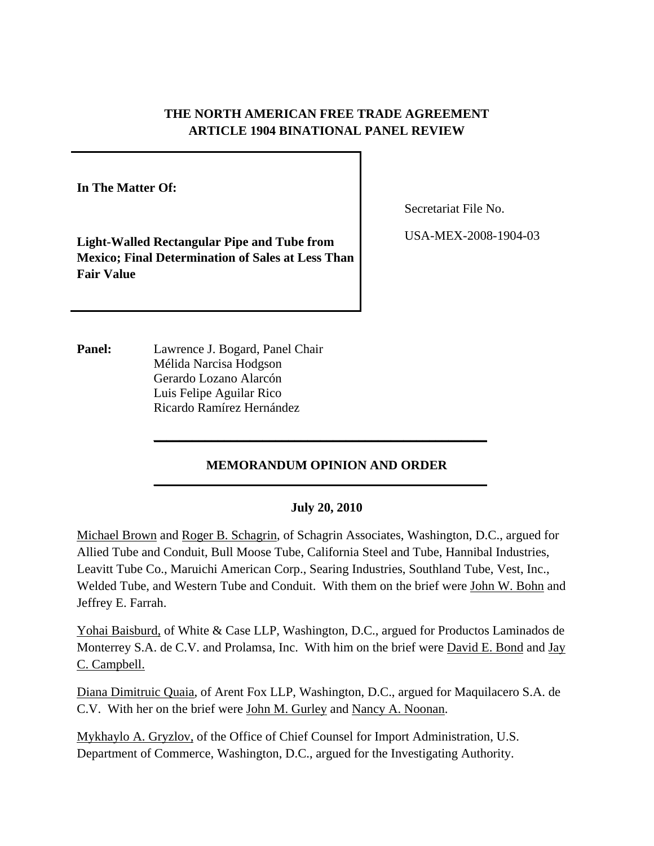# **THE NORTH AMERICAN FREE TRADE AGREEMENT ARTICLE 1904 BINATIONAL PANEL REVIEW**

**In The Matter Of:** 

**Light-Walled Rectangular Pipe and Tube from Mexico; Final Determination of Sales at Less Than Fair Value** 

Secretariat File No.

USA-MEX-2008-1904-03

Panel: Lawrence J. Bogard, Panel Chair Mélida Narcisa Hodgson Gerardo Lozano Alarcón Luis Felipe Aguilar Rico Ricardo Ramírez Hernández

# **MEMORANDUM OPINION AND ORDER**

**\_\_\_\_\_\_\_\_\_\_\_\_\_\_\_\_\_\_\_\_\_\_\_\_\_\_\_\_\_\_\_\_\_\_\_\_\_\_\_\_\_\_\_\_\_\_\_\_\_\_\_\_**

 $\mathcal{L}_\text{max} = \frac{1}{2} \sum_{i=1}^{n} \frac{1}{2} \sum_{i=1}^{n} \frac{1}{2} \sum_{i=1}^{n} \frac{1}{2} \sum_{i=1}^{n} \frac{1}{2} \sum_{i=1}^{n} \frac{1}{2} \sum_{i=1}^{n} \frac{1}{2} \sum_{i=1}^{n} \frac{1}{2} \sum_{i=1}^{n} \frac{1}{2} \sum_{i=1}^{n} \frac{1}{2} \sum_{i=1}^{n} \frac{1}{2} \sum_{i=1}^{n} \frac{1}{2} \sum_{i=1}^{n} \frac{1$ 

# **July 20, 2010**

Michael Brown and Roger B. Schagrin, of Schagrin Associates, Washington, D.C., argued for Allied Tube and Conduit, Bull Moose Tube, California Steel and Tube, Hannibal Industries, Leavitt Tube Co., Maruichi American Corp., Searing Industries, Southland Tube, Vest, Inc., Welded Tube, and Western Tube and Conduit. With them on the brief were John W. Bohn and Jeffrey E. Farrah.

Yohai Baisburd, of White & Case LLP, Washington, D.C., argued for Productos Laminados de Monterrey S.A. de C.V. and Prolamsa, Inc. With him on the brief were David E. Bond and Jay C. Campbell.

Diana Dimitruic Quaia, of Arent Fox LLP, Washington, D.C., argued for Maquilacero S.A. de C.V. With her on the brief were John M. Gurley and Nancy A. Noonan.

Mykhaylo A. Gryzlov, of the Office of Chief Counsel for Import Administration, U.S. Department of Commerce, Washington, D.C., argued for the Investigating Authority.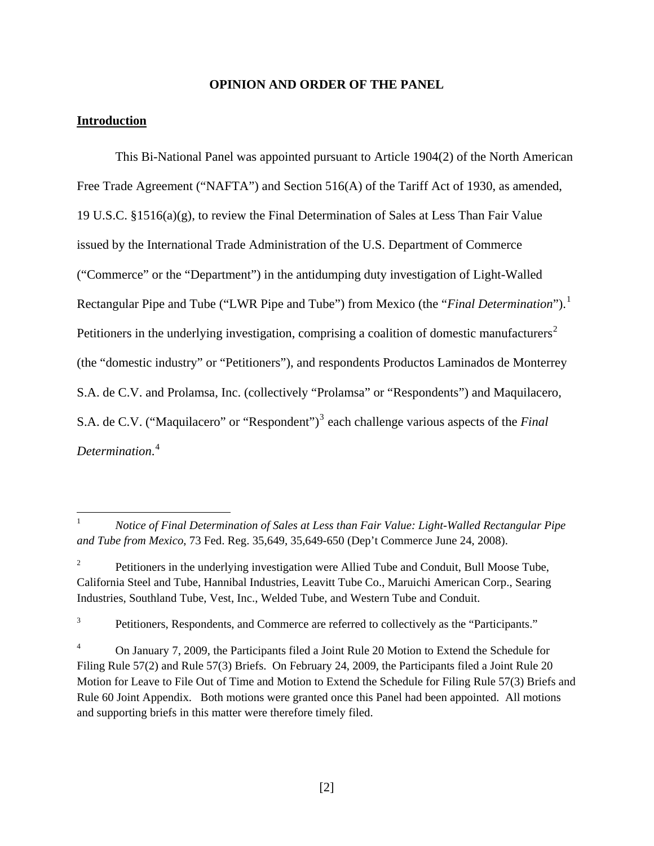### **OPINION AND ORDER OF THE PANEL**

### **Introduction**

 This Bi-National Panel was appointed pursuant to Article 1904(2) of the North American Free Trade Agreement ("NAFTA") and Section 516(A) of the Tariff Act of 1930, as amended, 19 U.S.C. §1516(a)(g), to review the Final Determination of Sales at Less Than Fair Value issued by the International Trade Administration of the U.S. Department of Commerce ("Commerce" or the "Department") in the antidumping duty investigation of Light-Walled Rectangular Pipe and Tube ("LWR Pipe and Tube") from Mexico (the "*Final Determination*").[1](#page-1-0) Petitioners in the underlying investigation, comprising a coalition of domestic manufacturers<sup>[2](#page-1-1)</sup> (the "domestic industry" or "Petitioners"), and respondents Productos Laminados de Monterrey S.A. de C.V. and Prolamsa, Inc. (collectively "Prolamsa" or "Respondents") and Maquilacero, S.A. de C.V. ("Maquilacero" or "Respondent")<sup>[3](#page-1-2)</sup> each challenge various aspects of the *Final Determination*. [4](#page-1-3)

<span id="page-1-2"></span>3 Petitioners, Respondents, and Commerce are referred to collectively as the "Participants."

<span id="page-1-0"></span> $\frac{1}{1}$  *Notice of Final Determination of Sales at Less than Fair Value: Light-Walled Rectangular Pipe and Tube from Mexico*, 73 Fed. Reg. 35,649, 35,649-650 (Dep't Commerce June 24, 2008).

<span id="page-1-1"></span><sup>2</sup> Petitioners in the underlying investigation were Allied Tube and Conduit, Bull Moose Tube, California Steel and Tube, Hannibal Industries, Leavitt Tube Co., Maruichi American Corp., Searing Industries, Southland Tube, Vest, Inc., Welded Tube, and Western Tube and Conduit.

<span id="page-1-3"></span><sup>4</sup> On January 7, 2009, the Participants filed a Joint Rule 20 Motion to Extend the Schedule for Filing Rule 57(2) and Rule 57(3) Briefs. On February 24, 2009, the Participants filed a Joint Rule 20 Motion for Leave to File Out of Time and Motion to Extend the Schedule for Filing Rule 57(3) Briefs and Rule 60 Joint Appendix. Both motions were granted once this Panel had been appointed. All motions and supporting briefs in this matter were therefore timely filed.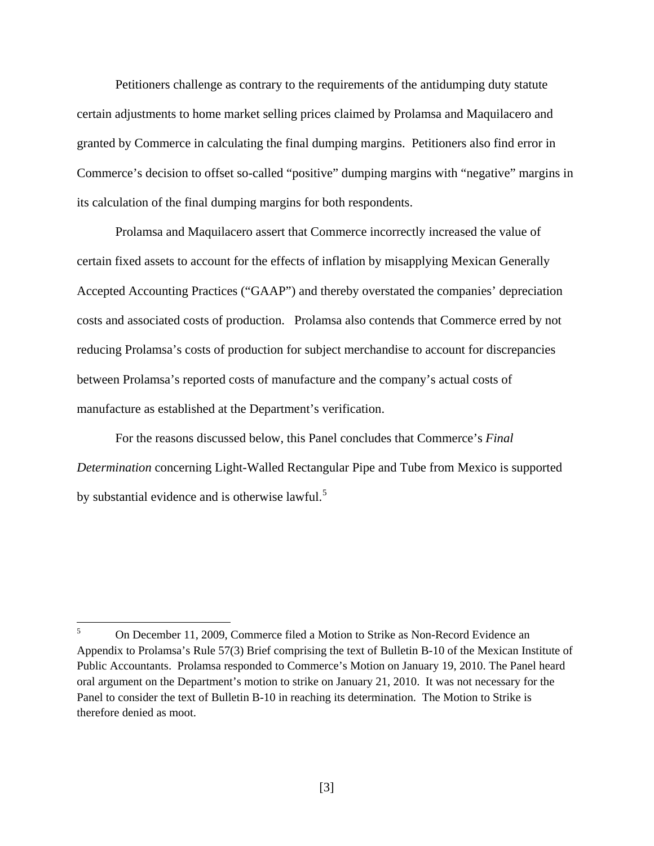Petitioners challenge as contrary to the requirements of the antidumping duty statute certain adjustments to home market selling prices claimed by Prolamsa and Maquilacero and granted by Commerce in calculating the final dumping margins. Petitioners also find error in Commerce's decision to offset so-called "positive" dumping margins with "negative" margins in its calculation of the final dumping margins for both respondents.

 Prolamsa and Maquilacero assert that Commerce incorrectly increased the value of certain fixed assets to account for the effects of inflation by misapplying Mexican Generally Accepted Accounting Practices ("GAAP") and thereby overstated the companies' depreciation costs and associated costs of production. Prolamsa also contends that Commerce erred by not reducing Prolamsa's costs of production for subject merchandise to account for discrepancies between Prolamsa's reported costs of manufacture and the company's actual costs of manufacture as established at the Department's verification.

 For the reasons discussed below, this Panel concludes that Commerce's *Final Determination* concerning Light-Walled Rectangular Pipe and Tube from Mexico is supported by substantial evidence and is otherwise lawful.<sup>[5](#page-2-0)</sup>

 $\overline{a}$ 

<span id="page-2-0"></span><sup>5</sup> On December 11, 2009, Commerce filed a Motion to Strike as Non-Record Evidence an Appendix to Prolamsa's Rule 57(3) Brief comprising the text of Bulletin B-10 of the Mexican Institute of Public Accountants. Prolamsa responded to Commerce's Motion on January 19, 2010. The Panel heard oral argument on the Department's motion to strike on January 21, 2010. It was not necessary for the Panel to consider the text of Bulletin B-10 in reaching its determination. The Motion to Strike is therefore denied as moot.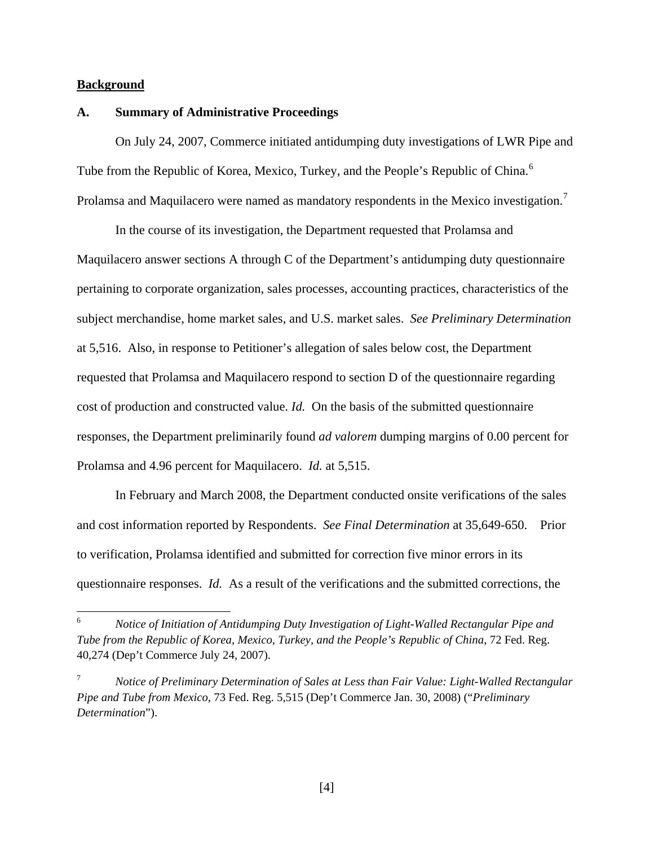## **Background**

<u>.</u>

#### **A. Summary of Administrative Proceedings**

On July 24, 2007, Commerce initiated antidumping duty investigations of LWR Pipe and Tube from the Republic of Korea, Mexico, Turkey, and the People's Republic of China.<sup>[6](#page-3-0)</sup> Prolamsa and Maquilacero were named as mandatory respondents in the Mexico investigation.<sup>[7](#page-3-1)</sup>

 In the course of its investigation, the Department requested that Prolamsa and Maquilacero answer sections A through C of the Department's antidumping duty questionnaire pertaining to corporate organization, sales processes, accounting practices, characteristics of the subject merchandise, home market sales, and U.S. market sales. *See Preliminary Determination* at 5,516. Also, in response to Petitioner's allegation of sales below cost, the Department requested that Prolamsa and Maquilacero respond to section D of the questionnaire regarding cost of production and constructed value. *Id.* On the basis of the submitted questionnaire responses, the Department preliminarily found *ad valorem* dumping margins of 0.00 percent for Prolamsa and 4.96 percent for Maquilacero. *Id.* at 5,515.

 In February and March 2008, the Department conducted onsite verifications of the sales and cost information reported by Respondents. *See Final Determination* at 35,649-650. Prior to verification, Prolamsa identified and submitted for correction five minor errors in its questionnaire responses. *Id.* As a result of the verifications and the submitted corrections, the

<span id="page-3-0"></span><sup>6</sup> *Notice of Initiation of Antidumping Duty Investigation of Light-Walled Rectangular Pipe and Tube from the Republic of Korea, Mexico, Turkey, and the People's Republic of China*, 72 Fed. Reg. 40,274 (Dep't Commerce July 24, 2007).

<span id="page-3-1"></span><sup>7</sup> *Notice of Preliminary Determination of Sales at Less than Fair Value: Light-Walled Rectangular Pipe and Tube from Mexico*, 73 Fed. Reg. 5,515 (Dep't Commerce Jan. 30, 2008) ("*Preliminary Determination*").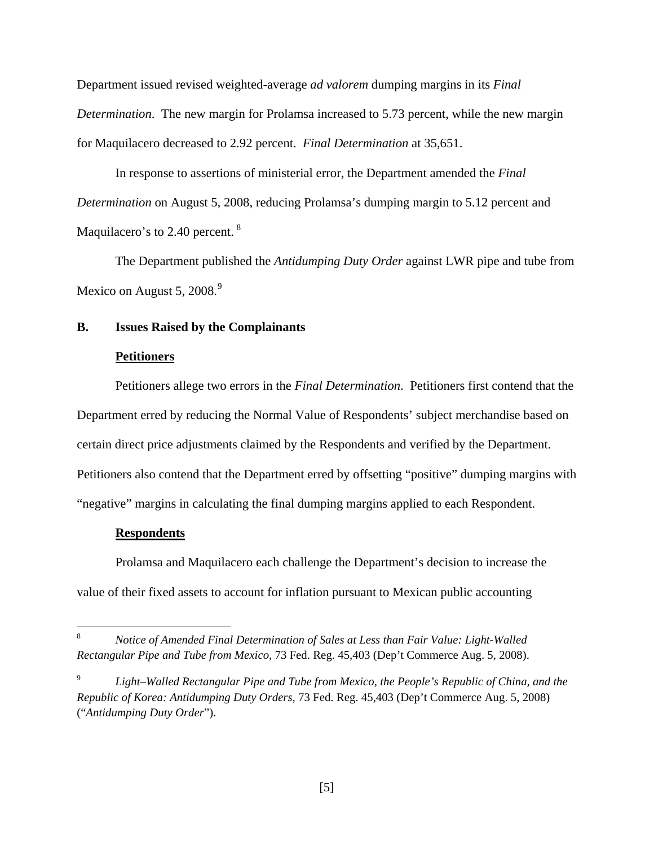Department issued revised weighted-average *ad valorem* dumping margins in its *Final Determination*. The new margin for Prolamsa increased to 5.73 percent, while the new margin for Maquilacero decreased to 2.92 percent. *Final Determination* at 35,651.

 In response to assertions of ministerial error, the Department amended the *Final Determination* on August 5, 2008, reducing Prolamsa's dumping margin to 5.12 percent and Maquilacero's to 2.40 percent.<sup>[8](#page-4-0)</sup>

 The Department published the *Antidumping Duty Order* against LWR pipe and tube from Mexico on August 5, 2008. $9$ 

# **B. Issues Raised by the Complainants**

#### **Petitioners**

 Petitioners allege two errors in the *Final Determination*. Petitioners first contend that the Department erred by reducing the Normal Value of Respondents' subject merchandise based on certain direct price adjustments claimed by the Respondents and verified by the Department. Petitioners also contend that the Department erred by offsetting "positive" dumping margins with "negative" margins in calculating the final dumping margins applied to each Respondent.

#### **Respondents**

 Prolamsa and Maquilacero each challenge the Department's decision to increase the value of their fixed assets to account for inflation pursuant to Mexican public accounting

<span id="page-4-0"></span> 8 *Notice of Amended Final Determination of Sales at Less than Fair Value: Light-Walled Rectangular Pipe and Tube from Mexico*, 73 Fed. Reg. 45,403 (Dep't Commerce Aug. 5, 2008).

<span id="page-4-1"></span><sup>9</sup> *Light–Walled Rectangular Pipe and Tube from Mexico, the People's Republic of China, and the Republic of Korea: Antidumping Duty Orders*, 73 Fed. Reg. 45,403 (Dep't Commerce Aug. 5, 2008) ("*Antidumping Duty Order*").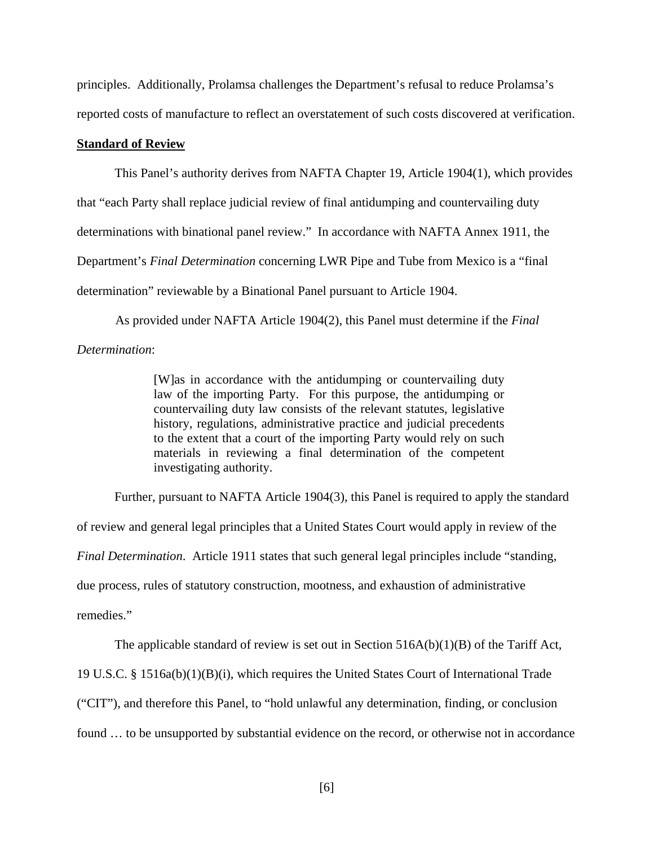principles. Additionally, Prolamsa challenges the Department's refusal to reduce Prolamsa's

reported costs of manufacture to reflect an overstatement of such costs discovered at verification.

## **Standard of Review**

This Panel's authority derives from NAFTA Chapter 19, Article 1904(1), which provides that "each Party shall replace judicial review of final antidumping and countervailing duty determinations with binational panel review." In accordance with NAFTA Annex 1911, the Department's *Final Determination* concerning LWR Pipe and Tube from Mexico is a "final determination" reviewable by a Binational Panel pursuant to Article 1904.

 As provided under NAFTA Article 1904(2), this Panel must determine if the *Final Determination*:

> [W]as in accordance with the antidumping or countervailing duty law of the importing Party. For this purpose, the antidumping or countervailing duty law consists of the relevant statutes, legislative history, regulations, administrative practice and judicial precedents to the extent that a court of the importing Party would rely on such materials in reviewing a final determination of the competent investigating authority.

Further, pursuant to NAFTA Article 1904(3), this Panel is required to apply the standard of review and general legal principles that a United States Court would apply in review of the *Final Determination*. Article 1911 states that such general legal principles include "standing, due process, rules of statutory construction, mootness, and exhaustion of administrative remedies."

The applicable standard of review is set out in Section 516A(b)(1)(B) of the Tariff Act,

19 U.S.C. § 1516a(b)(1)(B)(i), which requires the United States Court of International Trade

("CIT"), and therefore this Panel, to "hold unlawful any determination, finding, or conclusion

found ... to be unsupported by substantial evidence on the record, or otherwise not in accordance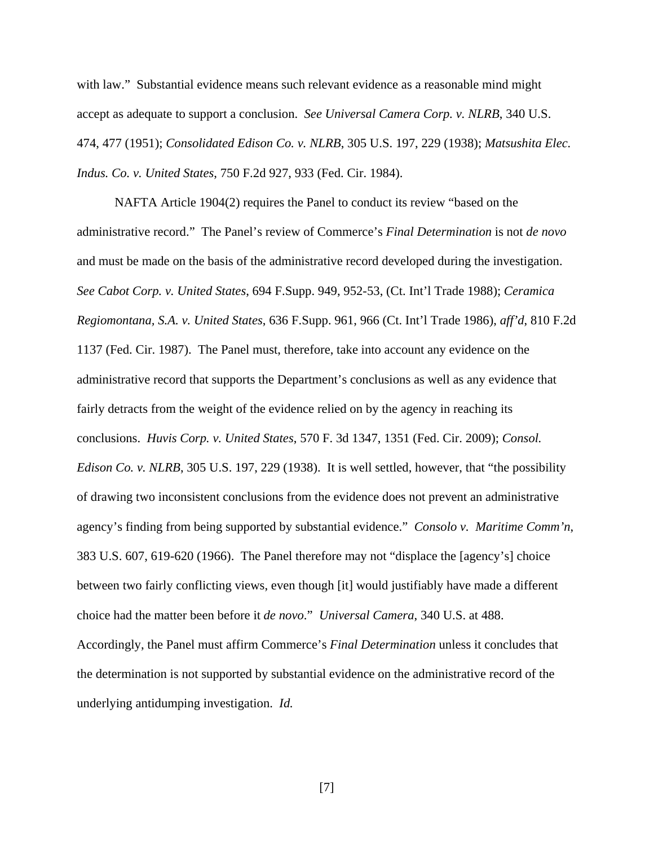with law." Substantial evidence means such relevant evidence as a reasonable mind might accept as adequate to support a conclusion. *See Universal Camera Corp. v. NLRB*, 340 U.S. 474, 477 (1951); *Consolidated Edison Co. v. NLRB*, 305 U.S. 197, 229 (1938); *Matsushita Elec. Indus. Co. v. United States*, 750 F.2d 927, 933 (Fed. Cir. 1984).

NAFTA Article 1904(2) requires the Panel to conduct its review "based on the administrative record." The Panel's review of Commerce's *Final Determination* is not *de novo* and must be made on the basis of the administrative record developed during the investigation. *See Cabot Corp. v. United States*, 694 F.Supp. 949, 952-53, (Ct. Int'l Trade 1988); *Ceramica Regiomontana, S.A. v. United States*, 636 F.Supp. 961, 966 (Ct. Int'l Trade 1986), *aff'd*, 810 F.2d 1137 (Fed. Cir. 1987).The Panel must, therefore, take into account any evidence on the administrative record that supports the Department's conclusions as well as any evidence that fairly detracts from the weight of the evidence relied on by the agency in reaching its conclusions. *Huvis Corp. v. United States*, 570 F. 3d 1347, 1351 (Fed. Cir. 2009); *Consol. Edison Co. v. NLRB*, 305 U.S. 197, 229 (1938). It is well settled, however, that "the possibility of drawing two inconsistent conclusions from the evidence does not prevent an administrative agency's finding from being supported by substantial evidence." *Consolo v. Maritime Comm'n*, 383 U.S. 607, 619-620 (1966). The Panel therefore may not "displace the [agency's] choice between two fairly conflicting views, even though [it] would justifiably have made a different choice had the matter been before it *de novo*." *Universal Camera*, 340 U.S. at 488. Accordingly, the Panel must affirm Commerce's *Final Determination* unless it concludes that the determination is not supported by substantial evidence on the administrative record of the underlying antidumping investigation. *Id.*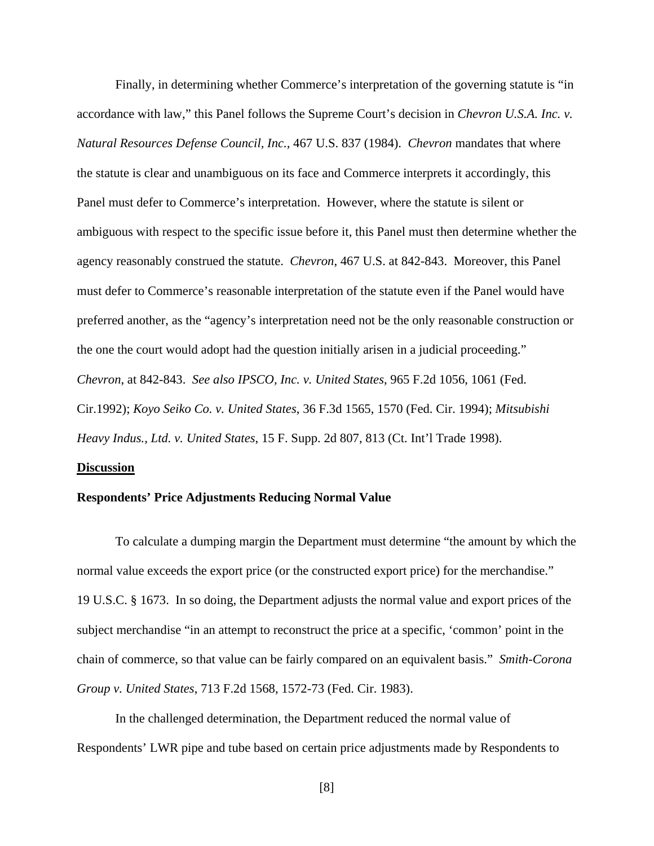Finally, in determining whether Commerce's interpretation of the governing statute is "in accordance with law," this Panel follows the Supreme Court's decision in *Chevron U.S.A. Inc. v. Natural Resources Defense Council, Inc.,* 467 U.S. 837 (1984). *Chevron* mandates that where the statute is clear and unambiguous on its face and Commerce interprets it accordingly, this Panel must defer to Commerce's interpretation. However, where the statute is silent or ambiguous with respect to the specific issue before it, this Panel must then determine whether the agency reasonably construed the statute. *Chevron*, 467 U.S. at 842-843. Moreover, this Panel must defer to Commerce's reasonable interpretation of the statute even if the Panel would have preferred another, as the "agency's interpretation need not be the only reasonable construction or the one the court would adopt had the question initially arisen in a judicial proceeding." *Chevron*, at 842-843. *See also IPSCO, Inc. v. United States*, 965 F.2d 1056, 1061 (Fed. Cir.1992); *Koyo Seiko Co. v. United States*, 36 F.3d 1565, 1570 (Fed. Cir. 1994); *Mitsubishi Heavy Indus., Ltd. v. United States*, 15 F. Supp. 2d 807, 813 (Ct. Int'l Trade 1998).

### **Discussion**

## **Respondents' Price Adjustments Reducing Normal Value**

 To calculate a dumping margin the Department must determine "the amount by which the normal value exceeds the export price (or the constructed export price) for the merchandise." 19 U.S.C. § 1673. In so doing, the Department adjusts the normal value and export prices of the subject merchandise "in an attempt to reconstruct the price at a specific, 'common' point in the chain of commerce, so that value can be fairly compared on an equivalent basis." *Smith-Corona Group v. United States*, 713 F.2d 1568, 1572-73 (Fed. Cir. 1983).

 In the challenged determination, the Department reduced the normal value of Respondents' LWR pipe and tube based on certain price adjustments made by Respondents to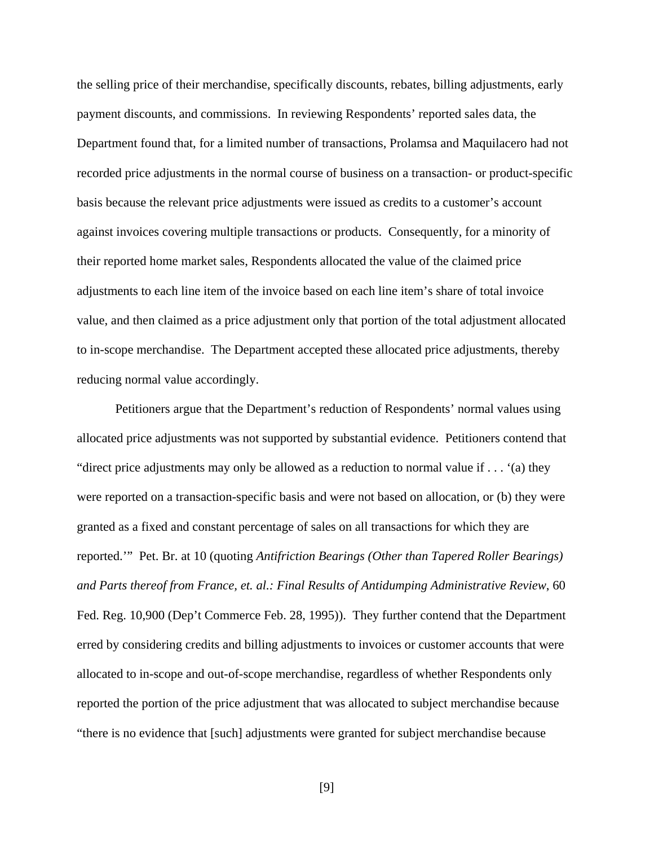the selling price of their merchandise, specifically discounts, rebates, billing adjustments, early payment discounts, and commissions. In reviewing Respondents' reported sales data, the Department found that, for a limited number of transactions, Prolamsa and Maquilacero had not recorded price adjustments in the normal course of business on a transaction- or product-specific basis because the relevant price adjustments were issued as credits to a customer's account against invoices covering multiple transactions or products. Consequently, for a minority of their reported home market sales, Respondents allocated the value of the claimed price adjustments to each line item of the invoice based on each line item's share of total invoice value, and then claimed as a price adjustment only that portion of the total adjustment allocated to in-scope merchandise. The Department accepted these allocated price adjustments, thereby reducing normal value accordingly.

 Petitioners argue that the Department's reduction of Respondents' normal values using allocated price adjustments was not supported by substantial evidence. Petitioners contend that "direct price adjustments may only be allowed as a reduction to normal value if . . . '(a) they were reported on a transaction-specific basis and were not based on allocation, or (b) they were granted as a fixed and constant percentage of sales on all transactions for which they are reported.'" Pet. Br. at 10 (quoting *Antifriction Bearings (Other than Tapered Roller Bearings) and Parts thereof from France, et. al.: Final Results of Antidumping Administrative Review*, 60 Fed. Reg. 10,900 (Dep't Commerce Feb. 28, 1995)). They further contend that the Department erred by considering credits and billing adjustments to invoices or customer accounts that were allocated to in-scope and out-of-scope merchandise, regardless of whether Respondents only reported the portion of the price adjustment that was allocated to subject merchandise because "there is no evidence that [such] adjustments were granted for subject merchandise because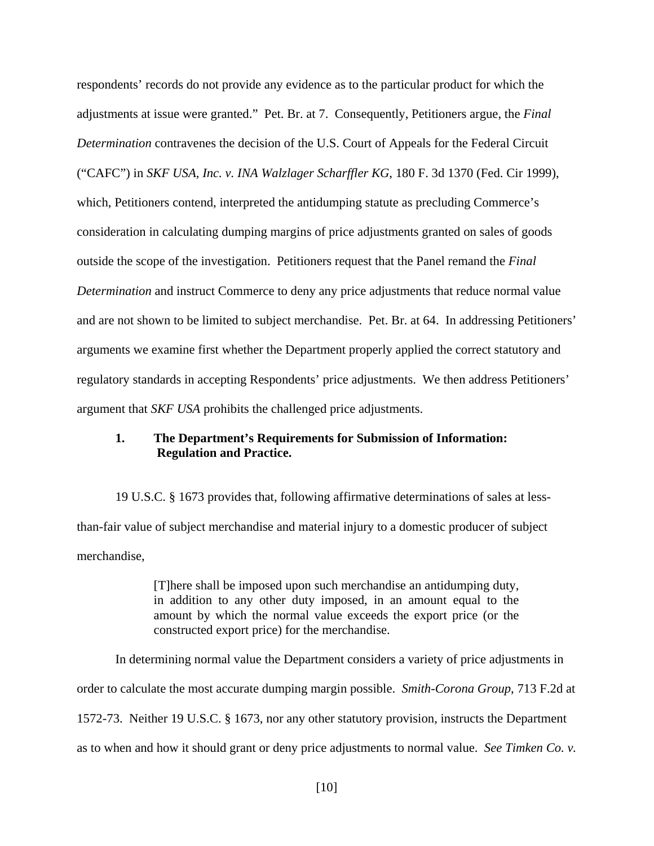respondents' records do not provide any evidence as to the particular product for which the adjustments at issue were granted." Pet. Br. at 7. Consequently, Petitioners argue, the *Final Determination* contravenes the decision of the U.S. Court of Appeals for the Federal Circuit ("CAFC") in *SKF USA, Inc. v. INA Walzlager Scharffler KG*, 180 F. 3d 1370 (Fed. Cir 1999), which, Petitioners contend, interpreted the antidumping statute as precluding Commerce's consideration in calculating dumping margins of price adjustments granted on sales of goods outside the scope of the investigation. Petitioners request that the Panel remand the *Final Determination* and instruct Commerce to deny any price adjustments that reduce normal value and are not shown to be limited to subject merchandise. Pet. Br. at 64. In addressing Petitioners' arguments we examine first whether the Department properly applied the correct statutory and regulatory standards in accepting Respondents' price adjustments. We then address Petitioners' argument that *SKF USA* prohibits the challenged price adjustments.

# **1. The Department's Requirements for Submission of Information: Regulation and Practice.**

 19 U.S.C. § 1673 provides that, following affirmative determinations of sales at lessthan-fair value of subject merchandise and material injury to a domestic producer of subject merchandise,

> [T]here shall be imposed upon such merchandise an antidumping duty, in addition to any other duty imposed, in an amount equal to the amount by which the normal value exceeds the export price (or the constructed export price) for the merchandise.

 In determining normal value the Department considers a variety of price adjustments in order to calculate the most accurate dumping margin possible. *Smith-Corona Group*, 713 F.2d at 1572-73. Neither 19 U.S.C. § 1673, nor any other statutory provision, instructs the Department as to when and how it should grant or deny price adjustments to normal value. *See Timken Co. v.*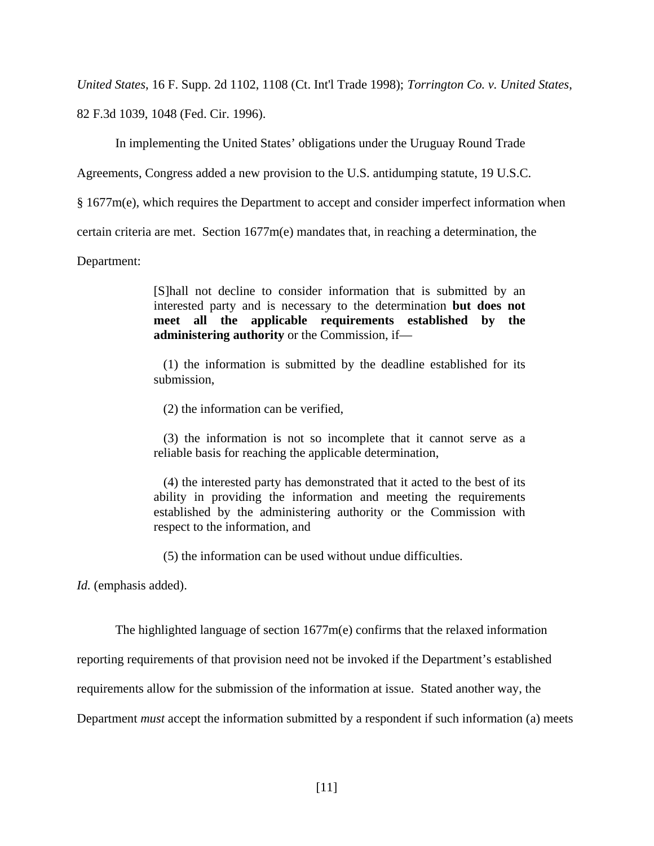*United States*, 16 F. Supp. 2d 1102, 1108 (Ct. Int'l Trade 1998); *Torrington Co. v. United States*,

82 F.3d 1039, 1048 (Fed. Cir. 1996).

In implementing the United States' obligations under the Uruguay Round Trade

Agreements, Congress added a new provision to the U.S. antidumping statute, 19 U.S.C.

§ 1677m(e), which requires the Department to accept and consider imperfect information when

certain criteria are met. Section 1677m(e) mandates that, in reaching a determination, the

Department:

[S]hall not decline to consider information that is submitted by an interested party and is necessary to the determination **but does not meet all the applicable requirements established by the administering authority** or the Commission, if—

 (1) the information is submitted by the deadline established for its submission,

(2) the information can be verified,

 (3) the information is not so incomplete that it cannot serve as a reliable basis for reaching the applicable determination,

 (4) the interested party has demonstrated that it acted to the best of its ability in providing the information and meeting the requirements established by the administering authority or the Commission with respect to the information, and

(5) the information can be used without undue difficulties.

*Id.* (emphasis added).

The highlighted language of section 1677m(e) confirms that the relaxed information

reporting requirements of that provision need not be invoked if the Department's established

requirements allow for the submission of the information at issue. Stated another way, the

Department *must* accept the information submitted by a respondent if such information (a) meets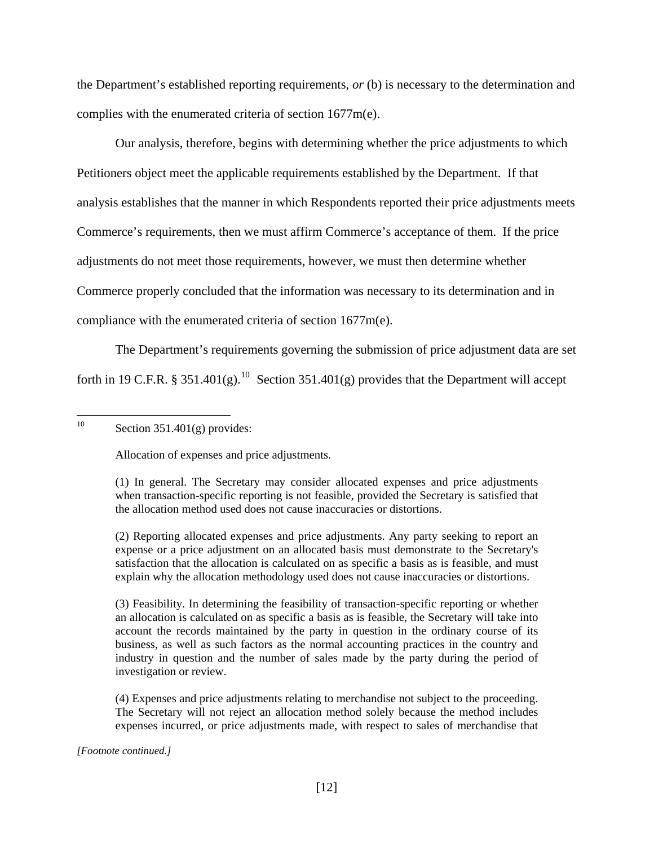the Department's established reporting requirements, *or* (b) is necessary to the determination and complies with the enumerated criteria of section 1677m(e).

Our analysis, therefore, begins with determining whether the price adjustments to which Petitioners object meet the applicable requirements established by the Department. If that analysis establishes that the manner in which Respondents reported their price adjustments meets Commerce's requirements, then we must affirm Commerce's acceptance of them. If the price adjustments do not meet those requirements, however, we must then determine whether Commerce properly concluded that the information was necessary to its determination and in compliance with the enumerated criteria of section 1677m(e).

The Department's requirements governing the submission of price adjustment data are set

forth in 19 C.F.R. § 351.401(g).<sup>[10](#page-11-0)</sup> Section 351.401(g) provides that the Department will accept

<span id="page-11-0"></span>10 Section  $351.401(g)$  provides:

Allocation of expenses and price adjustments.

(1) In general. The Secretary may consider allocated expenses and price adjustments when transaction-specific reporting is not feasible, provided the Secretary is satisfied that the allocation method used does not cause inaccuracies or distortions.

(2) Reporting allocated expenses and price adjustments. Any party seeking to report an expense or a price adjustment on an allocated basis must demonstrate to the Secretary's satisfaction that the allocation is calculated on as specific a basis as is feasible, and must explain why the allocation methodology used does not cause inaccuracies or distortions.

(3) Feasibility. In determining the feasibility of transaction-specific reporting or whether an allocation is calculated on as specific a basis as is feasible, the Secretary will take into account the records maintained by the party in question in the ordinary course of its business, as well as such factors as the normal accounting practices in the country and industry in question and the number of sales made by the party during the period of investigation or review.

(4) Expenses and price adjustments relating to merchandise not subject to the proceeding. The Secretary will not reject an allocation method solely because the method includes expenses incurred, or price adjustments made, with respect to sales of merchandise that

*[Footnote continued.]*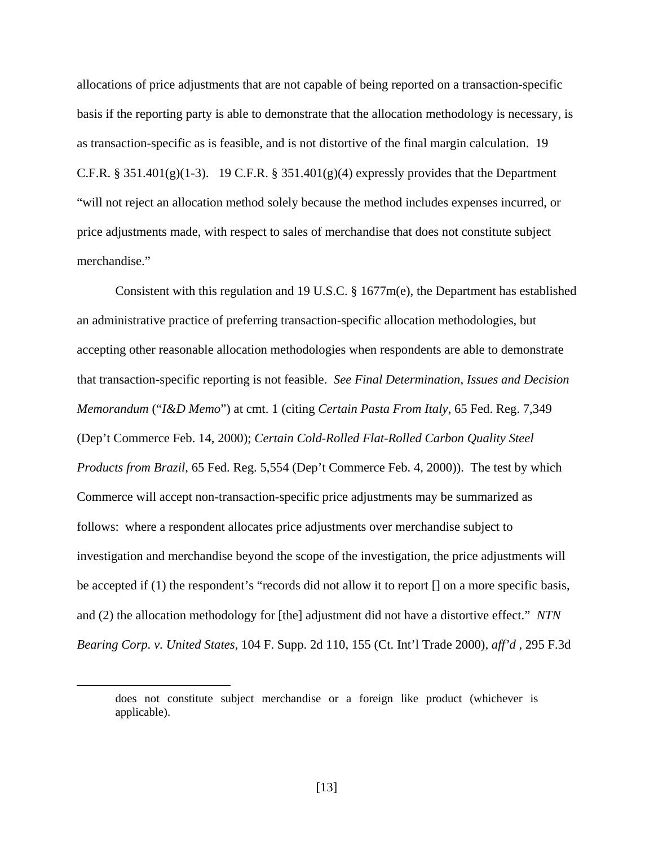allocations of price adjustments that are not capable of being reported on a transaction-specific basis if the reporting party is able to demonstrate that the allocation methodology is necessary, is as transaction-specific as is feasible, and is not distortive of the final margin calculation. 19 C.F.R. § 351.401 $(g)(1-3)$ . 19 C.F.R. § 351.401 $(g)(4)$  expressly provides that the Department "will not reject an allocation method solely because the method includes expenses incurred, or price adjustments made, with respect to sales of merchandise that does not constitute subject merchandise."

Consistent with this regulation and 19 U.S.C. § 1677m(e), the Department has established an administrative practice of preferring transaction-specific allocation methodologies, but accepting other reasonable allocation methodologies when respondents are able to demonstrate that transaction-specific reporting is not feasible. *See Final Determination*, *Issues and Decision Memorandum* ("*I&D Memo*") at cmt. 1 (citing *Certain Pasta From Italy*, 65 Fed. Reg. 7,349 (Dep't Commerce Feb. 14, 2000); *Certain Cold-Rolled Flat-Rolled Carbon Quality Steel Products from Brazil*, 65 Fed. Reg. 5,554 (Dep't Commerce Feb. 4, 2000)). The test by which Commerce will accept non-transaction-specific price adjustments may be summarized as follows: where a respondent allocates price adjustments over merchandise subject to investigation and merchandise beyond the scope of the investigation, the price adjustments will be accepted if (1) the respondent's "records did not allow it to report [] on a more specific basis, and (2) the allocation methodology for [the] adjustment did not have a distortive effect." *NTN Bearing Corp. v. United States*, 104 F. Supp. 2d 110, 155 (Ct. Int'l Trade 2000), *aff'd* , 295 F.3d

 $\overline{a}$ 

does not constitute subject merchandise or a foreign like product (whichever is applicable).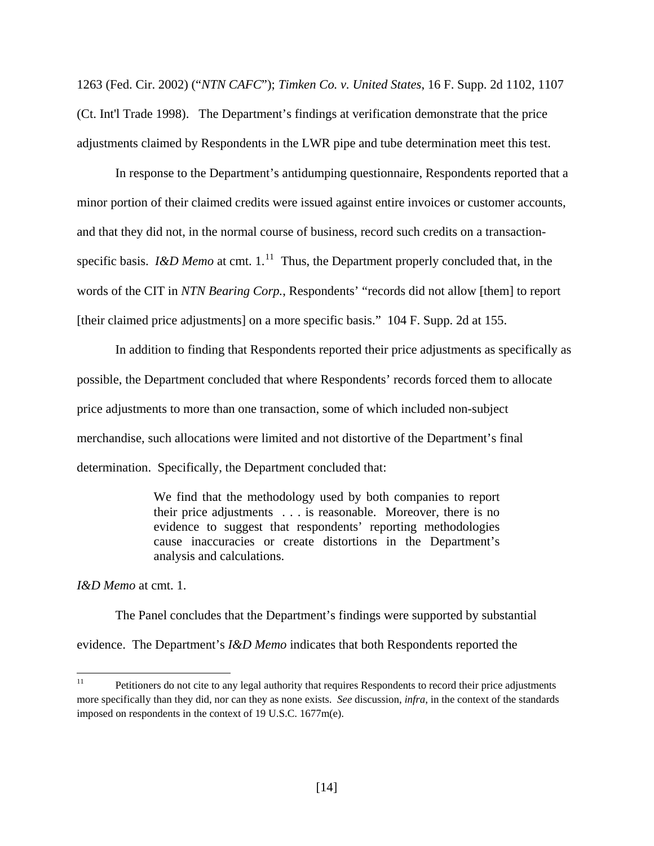1263 (Fed. Cir. 2002) ("*NTN CAFC*"); *Timken Co. v. United States*, 16 F. Supp. 2d 1102, 1107 (Ct. Int'l Trade 1998). The Department's findings at verification demonstrate that the price adjustments claimed by Respondents in the LWR pipe and tube determination meet this test.

 In response to the Department's antidumping questionnaire, Respondents reported that a minor portion of their claimed credits were issued against entire invoices or customer accounts, and that they did not, in the normal course of business, record such credits on a transactionspecific basis. *I&D Memo* at cmt.  $1<sup>11</sup>$  $1<sup>11</sup>$  $1<sup>11</sup>$  Thus, the Department properly concluded that, in the words of the CIT in *NTN Bearing Corp.*, Respondents' "records did not allow [them] to report [their claimed price adjustments] on a more specific basis." 104 F. Supp. 2d at 155.

 In addition to finding that Respondents reported their price adjustments as specifically as possible, the Department concluded that where Respondents' records forced them to allocate price adjustments to more than one transaction, some of which included non-subject merchandise, such allocations were limited and not distortive of the Department's final determination. Specifically, the Department concluded that:

> We find that the methodology used by both companies to report their price adjustments . . . is reasonable. Moreover, there is no evidence to suggest that respondents' reporting methodologies cause inaccuracies or create distortions in the Department's analysis and calculations.

*I&D Memo* at cmt. 1.

 The Panel concludes that the Department's findings were supported by substantial evidence. The Department's *I&D Memo* indicates that both Respondents reported the

<span id="page-13-0"></span> $11\,$ 11 Petitioners do not cite to any legal authority that requires Respondents to record their price adjustments more specifically than they did, nor can they as none exists. *See* discussion, *infra*, in the context of the standards imposed on respondents in the context of 19 U.S.C. 1677m(e).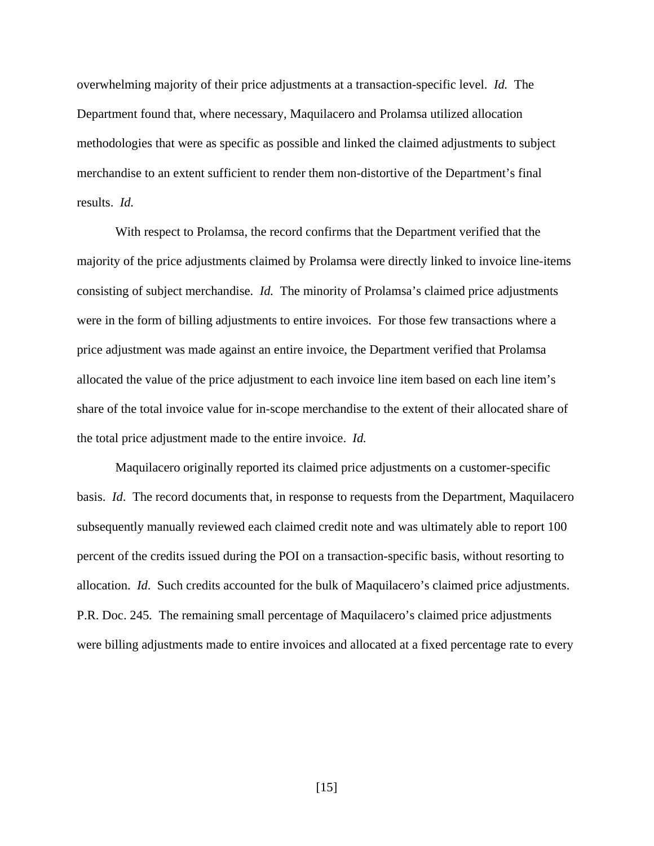overwhelming majority of their price adjustments at a transaction-specific level. *Id.* The Department found that, where necessary, Maquilacero and Prolamsa utilized allocation methodologies that were as specific as possible and linked the claimed adjustments to subject merchandise to an extent sufficient to render them non-distortive of the Department's final results. *Id.*

 With respect to Prolamsa, the record confirms that the Department verified that the majority of the price adjustments claimed by Prolamsa were directly linked to invoice line-items consisting of subject merchandise. *Id.* The minority of Prolamsa's claimed price adjustments were in the form of billing adjustments to entire invoices. For those few transactions where a price adjustment was made against an entire invoice, the Department verified that Prolamsa allocated the value of the price adjustment to each invoice line item based on each line item's share of the total invoice value for in-scope merchandise to the extent of their allocated share of the total price adjustment made to the entire invoice. *Id.*

 Maquilacero originally reported its claimed price adjustments on a customer-specific basis. *Id*. The record documents that, in response to requests from the Department, Maquilacero subsequently manually reviewed each claimed credit note and was ultimately able to report 100 percent of the credits issued during the POI on a transaction-specific basis, without resorting to allocation. *Id*. Such credits accounted for the bulk of Maquilacero's claimed price adjustments. P.R. Doc. 245*.* The remaining small percentage of Maquilacero's claimed price adjustments were billing adjustments made to entire invoices and allocated at a fixed percentage rate to every

[15]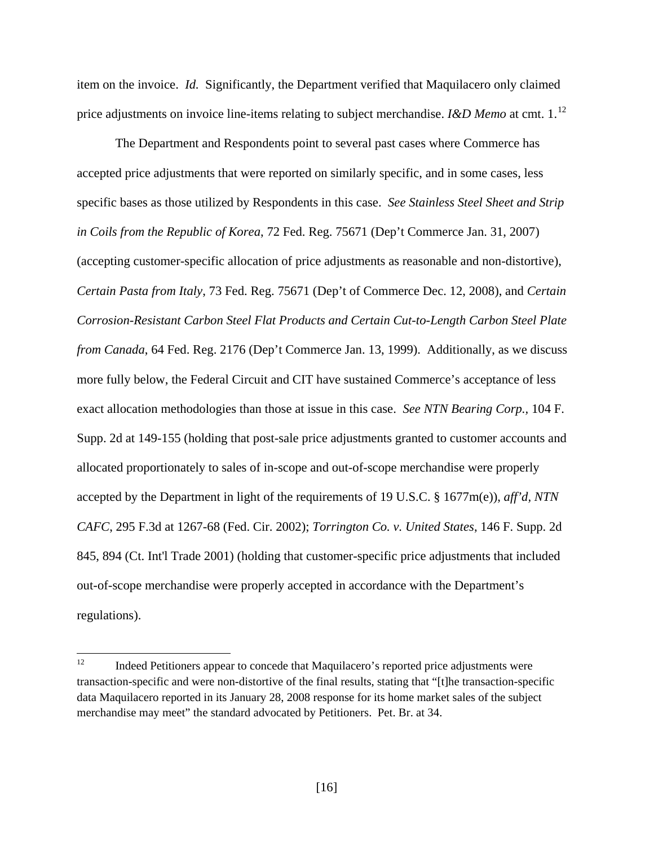item on the invoice. *Id.* Significantly, the Department verified that Maquilacero only claimed price adjustments on invoice line-items relating to subject merchandise. *I&D Memo* at cmt. 1.<sup>[12](#page-15-0)</sup>

The Department and Respondents point to several past cases where Commerce has accepted price adjustments that were reported on similarly specific, and in some cases, less specific bases as those utilized by Respondents in this case. *See Stainless Steel Sheet and Strip in Coils from the Republic of Korea*, 72 Fed. Reg. 75671 (Dep't Commerce Jan. 31, 2007) (accepting customer-specific allocation of price adjustments as reasonable and non-distortive), *Certain Pasta from Italy*, 73 Fed. Reg. 75671 (Dep't of Commerce Dec. 12, 2008), and *Certain Corrosion-Resistant Carbon Steel Flat Products and Certain Cut-to-Length Carbon Steel Plate from Canada*, 64 Fed. Reg. 2176 (Dep't Commerce Jan. 13, 1999). Additionally, as we discuss more fully below, the Federal Circuit and CIT have sustained Commerce's acceptance of less exact allocation methodologies than those at issue in this case. *See NTN Bearing Corp.,* 104 F. Supp. 2d at 149-155 (holding that post-sale price adjustments granted to customer accounts and allocated proportionately to sales of in-scope and out-of-scope merchandise were properly accepted by the Department in light of the requirements of 19 U.S.C. § 1677m(e)), *aff'd, NTN CAFC*, 295 F.3d at 1267-68 (Fed. Cir. 2002); *Torrington Co. v. United States*, 146 F. Supp. 2d 845, 894 (Ct. Int'l Trade 2001) (holding that customer-specific price adjustments that included out-of-scope merchandise were properly accepted in accordance with the Department's regulations).

<span id="page-15-0"></span> $12$ 12 Indeed Petitioners appear to concede that Maquilacero's reported price adjustments were transaction-specific and were non-distortive of the final results, stating that "[t]he transaction-specific data Maquilacero reported in its January 28, 2008 response for its home market sales of the subject merchandise may meet" the standard advocated by Petitioners. Pet. Br. at 34.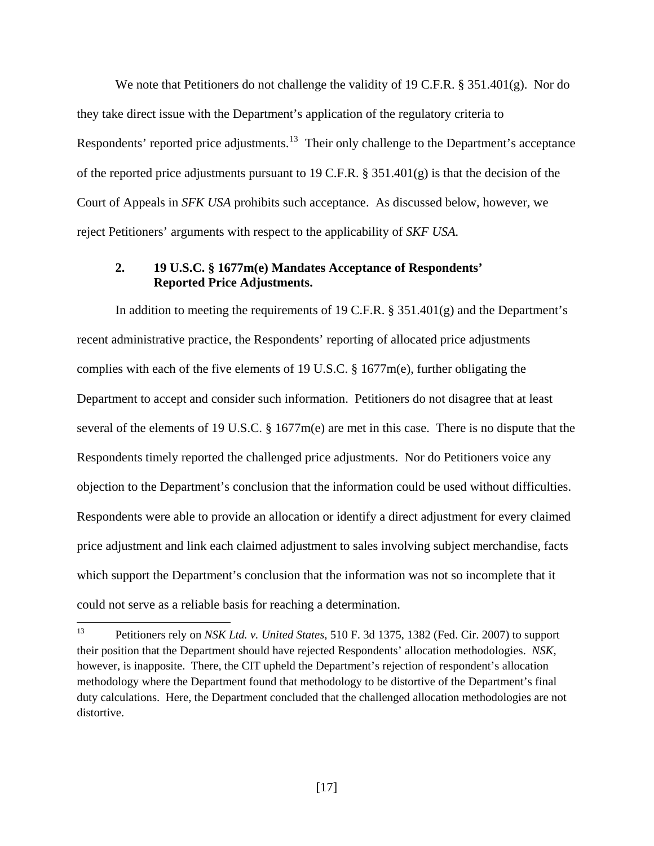We note that Petitioners do not challenge the validity of 19 C.F.R. § 351.401(g). Nor do they take direct issue with the Department's application of the regulatory criteria to Respondents' reported price adjustments.<sup>[13](#page-16-0)</sup> Their only challenge to the Department's acceptance of the reported price adjustments pursuant to 19 C.F.R. § 351.401(g) is that the decision of the Court of Appeals in *SFK USA* prohibits such acceptance. As discussed below, however, we reject Petitioners' arguments with respect to the applicability of *SKF USA.*

# **2. 19 U.S.C. § 1677m(e) Mandates Acceptance of Respondents' Reported Price Adjustments.**

In addition to meeting the requirements of 19 C.F.R. § 351.401(g) and the Department's recent administrative practice, the Respondents' reporting of allocated price adjustments complies with each of the five elements of 19 U.S.C. § 1677m(e), further obligating the Department to accept and consider such information. Petitioners do not disagree that at least several of the elements of 19 U.S.C. § 1677m(e) are met in this case. There is no dispute that the Respondents timely reported the challenged price adjustments. Nor do Petitioners voice any objection to the Department's conclusion that the information could be used without difficulties. Respondents were able to provide an allocation or identify a direct adjustment for every claimed price adjustment and link each claimed adjustment to sales involving subject merchandise, facts which support the Department's conclusion that the information was not so incomplete that it could not serve as a reliable basis for reaching a determination.

<span id="page-16-0"></span><sup>13</sup> 13 Petitioners rely on *NSK Ltd. v. United States*, 510 F. 3d 1375, 1382 (Fed. Cir. 2007) to support their position that the Department should have rejected Respondents' allocation methodologies. *NSK*, however, is inapposite. There, the CIT upheld the Department's rejection of respondent's allocation methodology where the Department found that methodology to be distortive of the Department's final duty calculations. Here, the Department concluded that the challenged allocation methodologies are not distortive.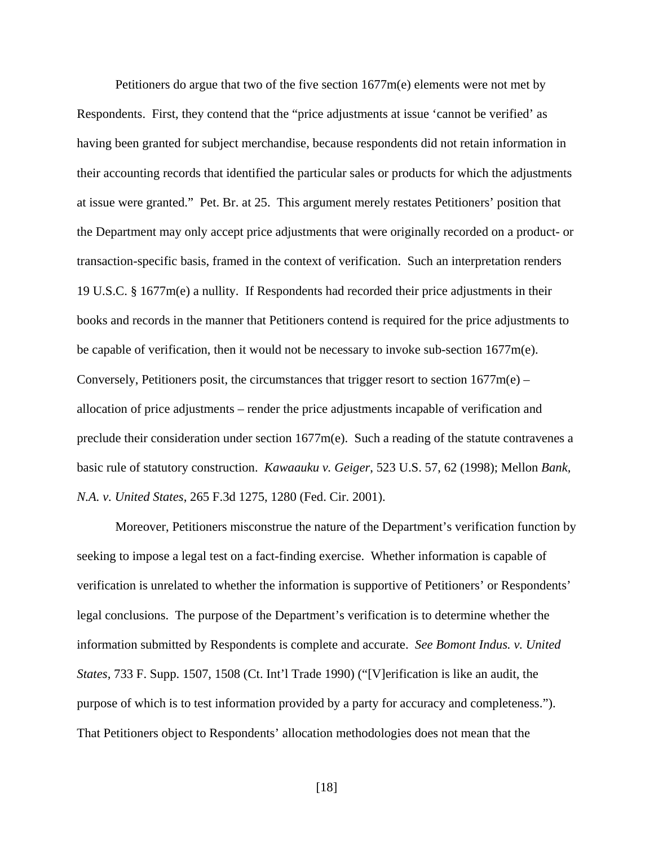Petitioners do argue that two of the five section 1677m(e) elements were not met by Respondents. First, they contend that the "price adjustments at issue 'cannot be verified' as having been granted for subject merchandise, because respondents did not retain information in their accounting records that identified the particular sales or products for which the adjustments at issue were granted." Pet. Br. at 25. This argument merely restates Petitioners' position that the Department may only accept price adjustments that were originally recorded on a product- or transaction-specific basis, framed in the context of verification. Such an interpretation renders 19 U.S.C. § 1677m(e) a nullity. If Respondents had recorded their price adjustments in their books and records in the manner that Petitioners contend is required for the price adjustments to be capable of verification, then it would not be necessary to invoke sub-section  $1677m(e)$ . Conversely, Petitioners posit, the circumstances that trigger resort to section  $1677m(e)$  – allocation of price adjustments – render the price adjustments incapable of verification and preclude their consideration under section 1677m(e). Such a reading of the statute contravenes a basic rule of statutory construction. *Kawaauku v. Geiger*, 523 U.S. 57, 62 (1998); Mellon *Bank, N.A. v. United States*, 265 F.3d 1275, 1280 (Fed. Cir. 2001).

Moreover, Petitioners misconstrue the nature of the Department's verification function by seeking to impose a legal test on a fact-finding exercise. Whether information is capable of verification is unrelated to whether the information is supportive of Petitioners' or Respondents' legal conclusions. The purpose of the Department's verification is to determine whether the information submitted by Respondents is complete and accurate. *See Bomont Indus. v. United States,* 733 F. Supp. 1507, 1508 (Ct. Int'l Trade 1990) ("[V]erification is like an audit, the purpose of which is to test information provided by a party for accuracy and completeness."). That Petitioners object to Respondents' allocation methodologies does not mean that the

[18]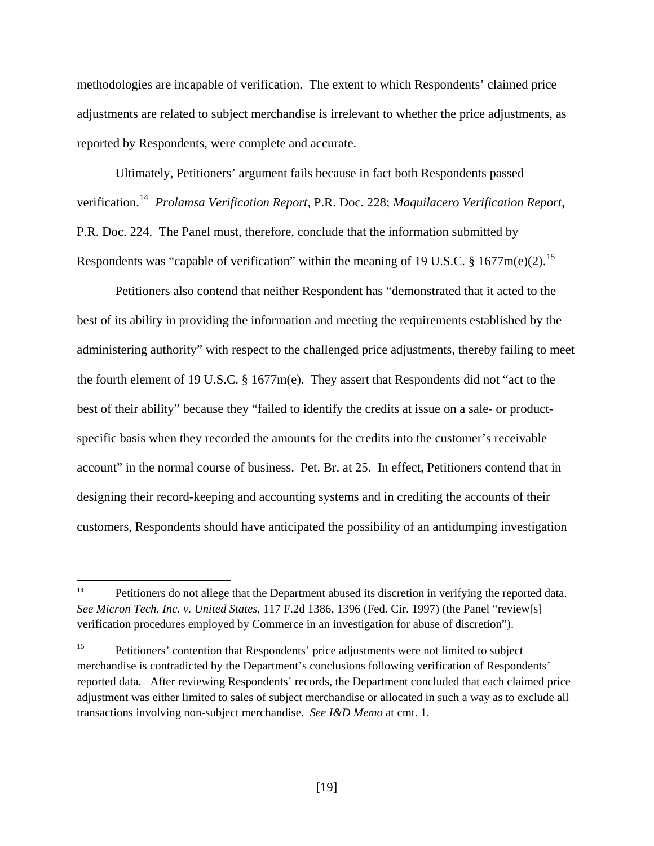methodologies are incapable of verification. The extent to which Respondents' claimed price adjustments are related to subject merchandise is irrelevant to whether the price adjustments, as reported by Respondents, were complete and accurate.

Ultimately, Petitioners' argument fails because in fact both Respondents passed verification.[14](#page-18-0) *Prolamsa Verification Report*, P.R. Doc. 228; *Maquilacero Verification Report*, P.R. Doc. 224. The Panel must, therefore, conclude that the information submitted by Respondents was "capable of verification" within the meaning of 19 U.S.C.  $\S$  1677m(e)(2).<sup>[15](#page-18-1)</sup>

 Petitioners also contend that neither Respondent has "demonstrated that it acted to the best of its ability in providing the information and meeting the requirements established by the administering authority" with respect to the challenged price adjustments, thereby failing to meet the fourth element of 19 U.S.C. § 1677m(e). They assert that Respondents did not "act to the best of their ability" because they "failed to identify the credits at issue on a sale- or productspecific basis when they recorded the amounts for the credits into the customer's receivable account" in the normal course of business. Pet. Br. at 25. In effect, Petitioners contend that in designing their record-keeping and accounting systems and in crediting the accounts of their customers, Respondents should have anticipated the possibility of an antidumping investigation

<span id="page-18-0"></span> $14$ Petitioners do not allege that the Department abused its discretion in verifying the reported data. *See Micron Tech. Inc. v. United States*, 117 F.2d 1386, 1396 (Fed. Cir. 1997) (the Panel "review[s] verification procedures employed by Commerce in an investigation for abuse of discretion").

<span id="page-18-1"></span><sup>&</sup>lt;sup>15</sup> Petitioners' contention that Respondents' price adjustments were not limited to subject merchandise is contradicted by the Department's conclusions following verification of Respondents' reported data. After reviewing Respondents' records, the Department concluded that each claimed price adjustment was either limited to sales of subject merchandise or allocated in such a way as to exclude all transactions involving non-subject merchandise. *See I&D Memo* at cmt. 1.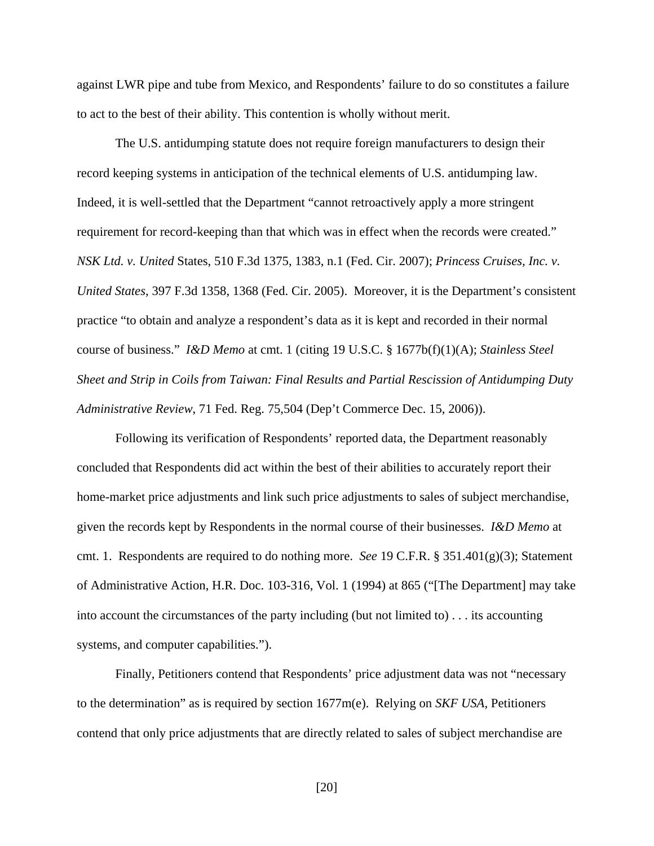against LWR pipe and tube from Mexico, and Respondents' failure to do so constitutes a failure to act to the best of their ability. This contention is wholly without merit.

 The U.S. antidumping statute does not require foreign manufacturers to design their record keeping systems in anticipation of the technical elements of U.S. antidumping law. Indeed, it is well-settled that the Department "cannot retroactively apply a more stringent requirement for record-keeping than that which was in effect when the records were created." *NSK Ltd. v. United* States, 510 F.3d 1375, 1383, n.1 (Fed. Cir. 2007); *Princess Cruises, Inc. v. United States*, 397 F.3d 1358, 1368 (Fed. Cir. 2005). Moreover, it is the Department's consistent practice "to obtain and analyze a respondent's data as it is kept and recorded in their normal course of business." *I&D Memo* at cmt. 1 (citing 19 U.S.C. § 1677b(f)(1)(A); *Stainless Steel Sheet and Strip in Coils from Taiwan: Final Results and Partial Rescission of Antidumping Duty Administrative Review*, 71 Fed. Reg. 75,504 (Dep't Commerce Dec. 15, 2006)).

 Following its verification of Respondents' reported data, the Department reasonably concluded that Respondents did act within the best of their abilities to accurately report their home-market price adjustments and link such price adjustments to sales of subject merchandise, given the records kept by Respondents in the normal course of their businesses. *I&D Memo* at cmt. 1. Respondents are required to do nothing more. *See* 19 C.F.R. § 351.401(g)(3); Statement of Administrative Action, H.R. Doc. 103-316, Vol. 1 (1994) at 865 ("[The Department] may take into account the circumstances of the party including (but not limited to) . . . its accounting systems, and computer capabilities.").

Finally, Petitioners contend that Respondents' price adjustment data was not "necessary to the determination" as is required by section 1677m(e). Relying on *SKF USA,* Petitioners contend that only price adjustments that are directly related to sales of subject merchandise are

[20]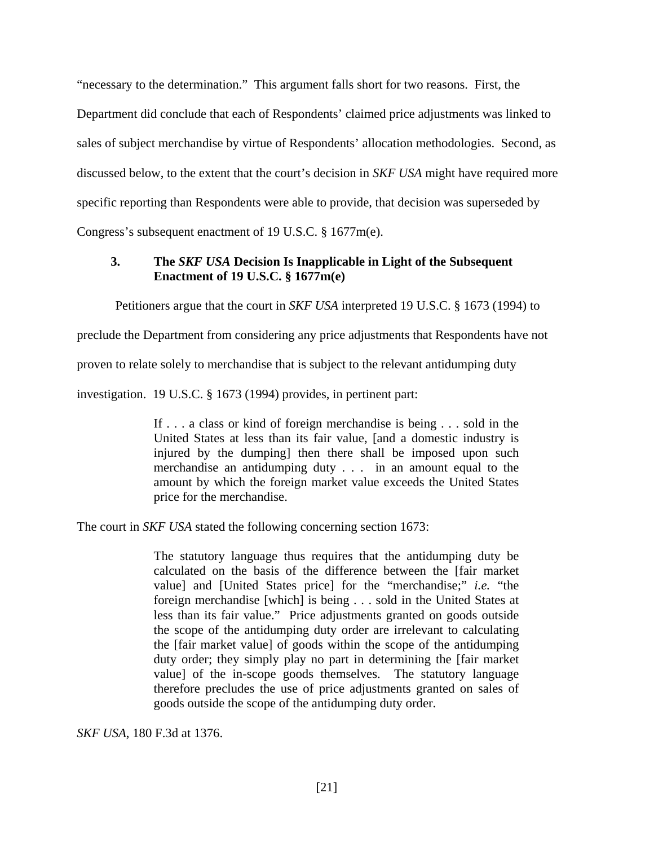"necessary to the determination." This argument falls short for two reasons. First, the Department did conclude that each of Respondents' claimed price adjustments was linked to sales of subject merchandise by virtue of Respondents' allocation methodologies. Second, as discussed below, to the extent that the court's decision in *SKF USA* might have required more specific reporting than Respondents were able to provide, that decision was superseded by Congress's subsequent enactment of 19 U.S.C. § 1677m(e).

# **3. The** *SKF USA* **Decision Is Inapplicable in Light of the Subsequent Enactment of 19 U.S.C. § 1677m(e)**

Petitioners argue that the court in *SKF USA* interpreted 19 U.S.C. § 1673 (1994) to

preclude the Department from considering any price adjustments that Respondents have not

proven to relate solely to merchandise that is subject to the relevant antidumping duty

investigation. 19 U.S.C. § 1673 (1994) provides, in pertinent part:

If . . . a class or kind of foreign merchandise is being . . . sold in the United States at less than its fair value, [and a domestic industry is injured by the dumping] then there shall be imposed upon such merchandise an antidumping duty . . . in an amount equal to the amount by which the foreign market value exceeds the United States price for the merchandise.

The court in *SKF USA* stated the following concerning section 1673:

The statutory language thus requires that the antidumping duty be calculated on the basis of the difference between the [fair market value] and [United States price] for the "merchandise;" *i.e.* "the foreign merchandise [which] is being . . . sold in the United States at less than its fair value." Price adjustments granted on goods outside the scope of the antidumping duty order are irrelevant to calculating the [fair market value] of goods within the scope of the antidumping duty order; they simply play no part in determining the [fair market value] of the in-scope goods themselves. The statutory language therefore precludes the use of price adjustments granted on sales of goods outside the scope of the antidumping duty order.

*SKF USA*, 180 F.3d at 1376.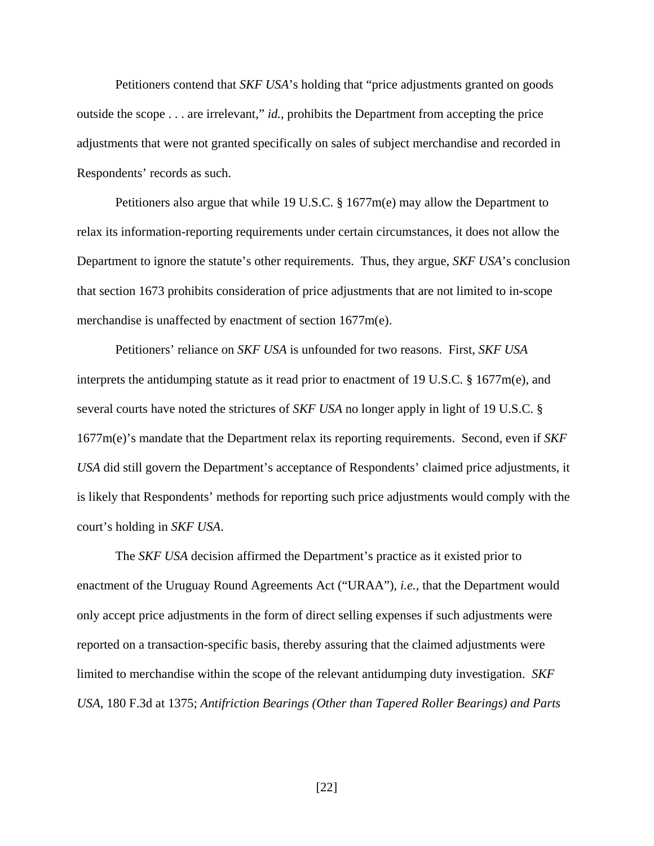Petitioners contend that *SKF USA*'s holding that "price adjustments granted on goods outside the scope . . . are irrelevant," *id.*, prohibits the Department from accepting the price adjustments that were not granted specifically on sales of subject merchandise and recorded in Respondents' records as such.

 Petitioners also argue that while 19 U.S.C. § 1677m(e) may allow the Department to relax its information-reporting requirements under certain circumstances, it does not allow the Department to ignore the statute's other requirements. Thus, they argue, *SKF USA*'s conclusion that section 1673 prohibits consideration of price adjustments that are not limited to in-scope merchandise is unaffected by enactment of section 1677m(e).

Petitioners' reliance on *SKF USA* is unfounded for two reasons. First, *SKF USA*  interprets the antidumping statute as it read prior to enactment of 19 U.S.C. § 1677m(e), and several courts have noted the strictures of *SKF USA* no longer apply in light of 19 U.S.C. § 1677m(e)'s mandate that the Department relax its reporting requirements. Second, even if *SKF USA* did still govern the Department's acceptance of Respondents' claimed price adjustments, it is likely that Respondents' methods for reporting such price adjustments would comply with the court's holding in *SKF USA*.

 The *SKF USA* decision affirmed the Department's practice as it existed prior to enactment of the Uruguay Round Agreements Act ("URAA")*, i.e.,* that the Department would only accept price adjustments in the form of direct selling expenses if such adjustments were reported on a transaction-specific basis, thereby assuring that the claimed adjustments were limited to merchandise within the scope of the relevant antidumping duty investigation. *SKF USA*, 180 F.3d at 1375; *Antifriction Bearings (Other than Tapered Roller Bearings) and Parts* 

[22]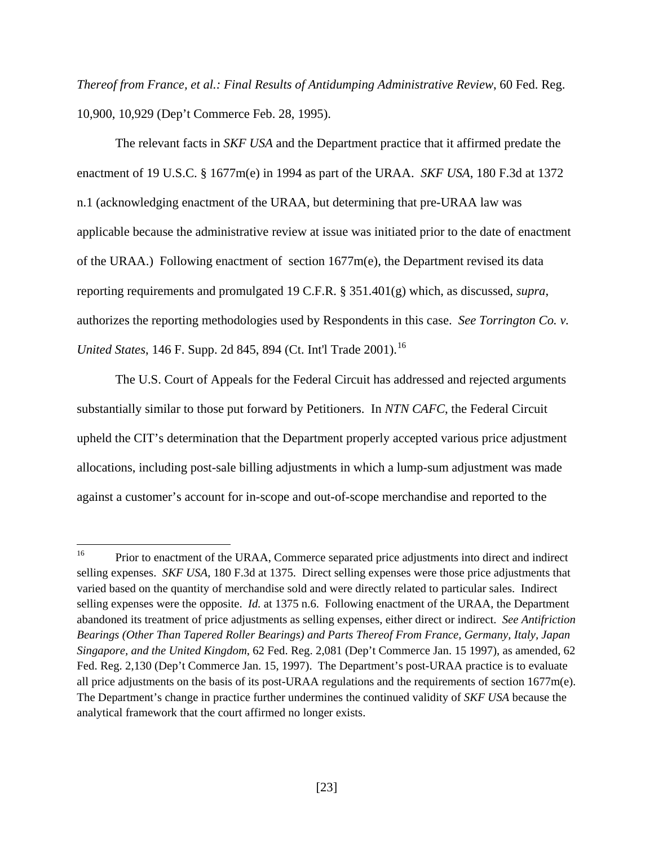*Thereof from France, et al.: Final Results of Antidumping Administrative Review*, 60 Fed. Reg. 10,900, 10,929 (Dep't Commerce Feb. 28, 1995).

 The relevant facts in *SKF USA* and the Department practice that it affirmed predate the enactment of 19 U.S.C. § 1677m(e) in 1994 as part of the URAA. *SKF USA*, 180 F.3d at 1372 n.1 (acknowledging enactment of the URAA, but determining that pre-URAA law was applicable because the administrative review at issue was initiated prior to the date of enactment of the URAA.) Following enactment of section  $1677m(e)$ , the Department revised its data reporting requirements and promulgated 19 C.F.R. § 351.401(g) which, as discussed, *supra*, authorizes the reporting methodologies used by Respondents in this case. *See Torrington Co. v. United States*, 146 F. Supp. 2d 845, 894 (Ct. Int'l Trade 2001).<sup>[16](#page-22-0)</sup>

 The U.S. Court of Appeals for the Federal Circuit has addressed and rejected arguments substantially similar to those put forward by Petitioners. In *NTN CAFC*, the Federal Circuit upheld the CIT's determination that the Department properly accepted various price adjustment allocations, including post-sale billing adjustments in which a lump-sum adjustment was made against a customer's account for in-scope and out-of-scope merchandise and reported to the

1

<span id="page-22-0"></span><sup>&</sup>lt;sup>16</sup> Prior to enactment of the URAA, Commerce separated price adjustments into direct and indirect selling expenses. *SKF USA*, 180 F.3d at 1375. Direct selling expenses were those price adjustments that varied based on the quantity of merchandise sold and were directly related to particular sales. Indirect selling expenses were the opposite. *Id.* at 1375 n.6. Following enactment of the URAA, the Department abandoned its treatment of price adjustments as selling expenses, either direct or indirect. *See Antifriction Bearings (Other Than Tapered Roller Bearings) and Parts Thereof From France, Germany, Italy, Japan Singapore, and the United Kingdom*, 62 Fed. Reg. 2,081 (Dep't Commerce Jan. 15 1997), as amended, 62 Fed. Reg. 2,130 (Dep't Commerce Jan. 15, 1997). The Department's post-URAA practice is to evaluate all price adjustments on the basis of its post-URAA regulations and the requirements of section 1677m(e). The Department's change in practice further undermines the continued validity of *SKF USA* because the analytical framework that the court affirmed no longer exists.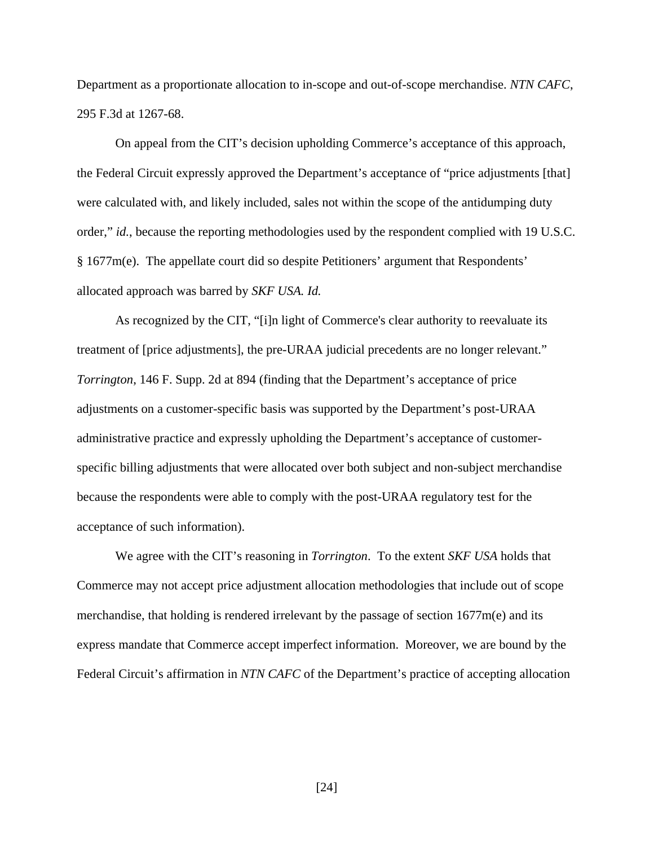Department as a proportionate allocation to in-scope and out-of-scope merchandise. *NTN CAFC*, 295 F.3d at 1267-68.

On appeal from the CIT's decision upholding Commerce's acceptance of this approach, the Federal Circuit expressly approved the Department's acceptance of "price adjustments [that] were calculated with, and likely included, sales not within the scope of the antidumping duty order," *id.*, because the reporting methodologies used by the respondent complied with 19 U.S.C. § 1677m(e). The appellate court did so despite Petitioners' argument that Respondents' allocated approach was barred by *SKF USA. Id.* 

As recognized by the CIT, "[i]n light of Commerce's clear authority to reevaluate its treatment of [price adjustments], the pre-URAA judicial precedents are no longer relevant." *Torrington*, 146 F. Supp. 2d at 894 (finding that the Department's acceptance of price adjustments on a customer-specific basis was supported by the Department's post-URAA administrative practice and expressly upholding the Department's acceptance of customerspecific billing adjustments that were allocated over both subject and non-subject merchandise because the respondents were able to comply with the post-URAA regulatory test for the acceptance of such information).

 We agree with the CIT's reasoning in *Torrington*. To the extent *SKF USA* holds that Commerce may not accept price adjustment allocation methodologies that include out of scope merchandise, that holding is rendered irrelevant by the passage of section  $1677m(e)$  and its express mandate that Commerce accept imperfect information. Moreover, we are bound by the Federal Circuit's affirmation in *NTN CAFC* of the Department's practice of accepting allocation

[24]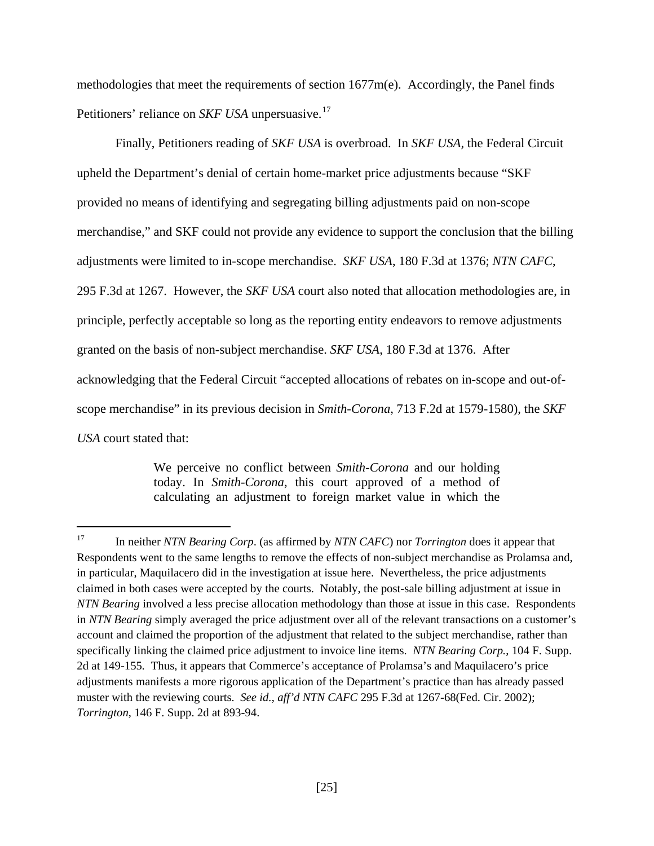methodologies that meet the requirements of section 1677m(e). Accordingly, the Panel finds Petitioners' reliance on *SKF USA* unpersuasive.<sup>[17](#page-24-0)</sup>

 Finally, Petitioners reading of *SKF USA* is overbroad. In *SKF USA,* the Federal Circuit upheld the Department's denial of certain home-market price adjustments because "SKF provided no means of identifying and segregating billing adjustments paid on non-scope merchandise," and SKF could not provide any evidence to support the conclusion that the billing adjustments were limited to in-scope merchandise. *SKF USA*, 180 F.3d at 1376; *NTN CAFC*, 295 F.3d at 1267. However, the *SKF USA* court also noted that allocation methodologies are, in principle, perfectly acceptable so long as the reporting entity endeavors to remove adjustments granted on the basis of non-subject merchandise. *SKF USA*, 180 F.3d at 1376. After acknowledging that the Federal Circuit "accepted allocations of rebates on in-scope and out-ofscope merchandise" in its previous decision in *Smith-Corona*, 713 F.2d at 1579-1580), the *SKF USA* court stated that:

> We perceive no conflict between *Smith-Corona* and our holding today. In *Smith-Corona*, this court approved of a method of calculating an adjustment to foreign market value in which the

 $\overline{a}$ 

<span id="page-24-0"></span><sup>17</sup> In neither *NTN Bearing Corp*. (as affirmed by *NTN CAFC*) nor *Torrington* does it appear that Respondents went to the same lengths to remove the effects of non-subject merchandise as Prolamsa and, in particular, Maquilacero did in the investigation at issue here. Nevertheless, the price adjustments claimed in both cases were accepted by the courts. Notably, the post-sale billing adjustment at issue in *NTN Bearing* involved a less precise allocation methodology than those at issue in this case. Respondents in *NTN Bearing* simply averaged the price adjustment over all of the relevant transactions on a customer's account and claimed the proportion of the adjustment that related to the subject merchandise, rather than specifically linking the claimed price adjustment to invoice line items. *NTN Bearing Corp.*, 104 F. Supp. 2d at 149-155*.* Thus, it appears that Commerce's acceptance of Prolamsa's and Maquilacero's price adjustments manifests a more rigorous application of the Department's practice than has already passed muster with the reviewing courts. *See id.*, *aff'd NTN CAFC* 295 F.3d at 1267-68(Fed. Cir. 2002); *Torrington*, 146 F. Supp. 2d at 893-94.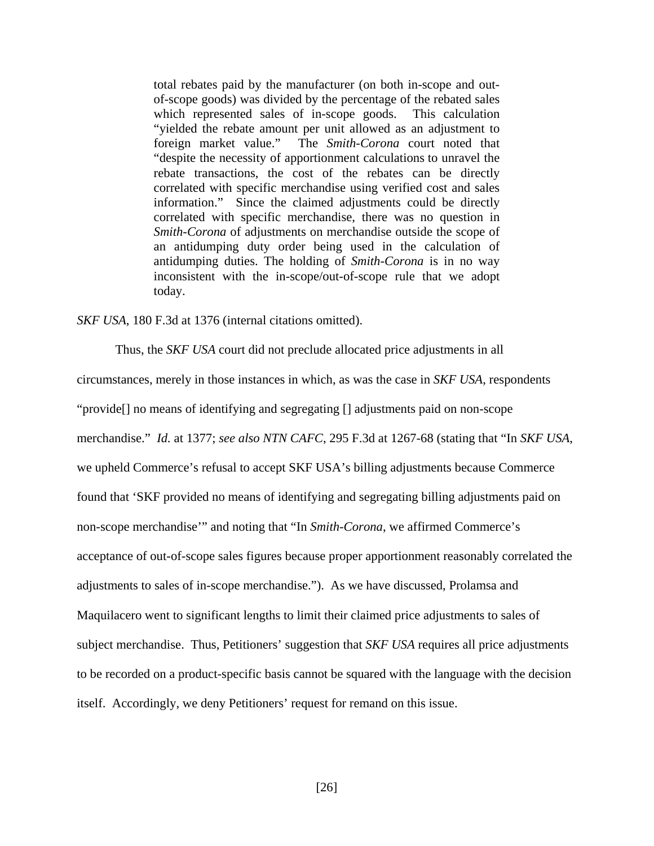total rebates paid by the manufacturer (on both in-scope and outof-scope goods) was divided by the percentage of the rebated sales which represented sales of in-scope goods. This calculation "yielded the rebate amount per unit allowed as an adjustment to foreign market value." The *Smith-Corona* court noted that "despite the necessity of apportionment calculations to unravel the rebate transactions, the cost of the rebates can be directly correlated with specific merchandise using verified cost and sales information." Since the claimed adjustments could be directly correlated with specific merchandise, there was no question in *Smith-Corona* of adjustments on merchandise outside the scope of an antidumping duty order being used in the calculation of antidumping duties. The holding of *Smith-Corona* is in no way inconsistent with the in-scope/out-of-scope rule that we adopt today.

### *SKF USA*, 180 F.3d at 1376 (internal citations omitted).

 Thus, the *SKF USA* court did not preclude allocated price adjustments in all circumstances, merely in those instances in which, as was the case in *SKF USA*, respondents "provide[] no means of identifying and segregating [] adjustments paid on non-scope merchandise." *Id.* at 1377; *see also NTN CAFC*, 295 F.3d at 1267-68 (stating that "In *SKF USA*, we upheld Commerce's refusal to accept SKF USA's billing adjustments because Commerce found that 'SKF provided no means of identifying and segregating billing adjustments paid on non-scope merchandise'" and noting that "In *Smith-Corona*, we affirmed Commerce's acceptance of out-of-scope sales figures because proper apportionment reasonably correlated the adjustments to sales of in-scope merchandise."). As we have discussed, Prolamsa and Maquilacero went to significant lengths to limit their claimed price adjustments to sales of subject merchandise. Thus, Petitioners' suggestion that *SKF USA* requires all price adjustments to be recorded on a product-specific basis cannot be squared with the language with the decision itself. Accordingly, we deny Petitioners' request for remand on this issue.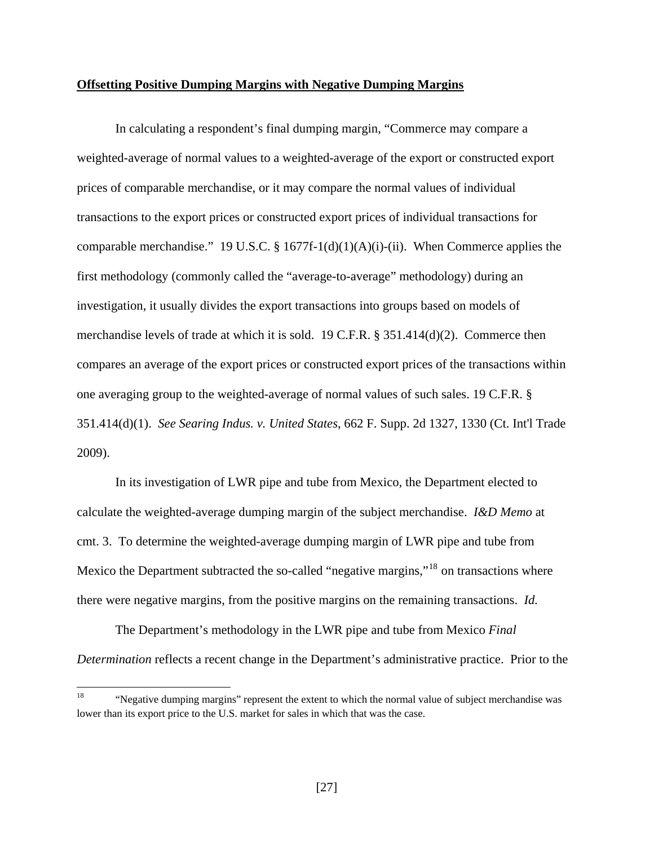### **Offsetting Positive Dumping Margins with Negative Dumping Margins**

 In calculating a respondent's final dumping margin, "Commerce may compare a weighted-average of normal values to a weighted-average of the export or constructed export prices of comparable merchandise, or it may compare the normal values of individual transactions to the export prices or constructed export prices of individual transactions for comparable merchandise." 19 U.S.C. § 1677f-1(d)(1)(A)(i)-(ii). When Commerce applies the first methodology (commonly called the "average-to-average" methodology) during an investigation, it usually divides the export transactions into groups based on models of merchandise levels of trade at which it is sold. 19 C.F.R. § 351.414(d)(2). Commerce then compares an average of the export prices or constructed export prices of the transactions within one averaging group to the weighted-average of normal values of such sales. 19 C.F.R. § 351.414(d)(1). *See Searing Indus. v. United States*, 662 F. Supp. 2d 1327, 1330 (Ct. Int'l Trade 2009).

 In its investigation of LWR pipe and tube from Mexico, the Department elected to calculate the weighted-average dumping margin of the subject merchandise. *I&D Memo* at cmt. 3. To determine the weighted-average dumping margin of LWR pipe and tube from Mexico the Department subtracted the so-called "negative margins,"<sup>[18](#page-26-0)</sup> on transactions where there were negative margins, from the positive margins on the remaining transactions. *Id.* 

The Department's methodology in the LWR pipe and tube from Mexico *Final Determination* reflects a recent change in the Department's administrative practice. Prior to the

<span id="page-26-0"></span> $18<sup>°</sup>$ "Negative dumping margins" represent the extent to which the normal value of subject merchandise was lower than its export price to the U.S. market for sales in which that was the case.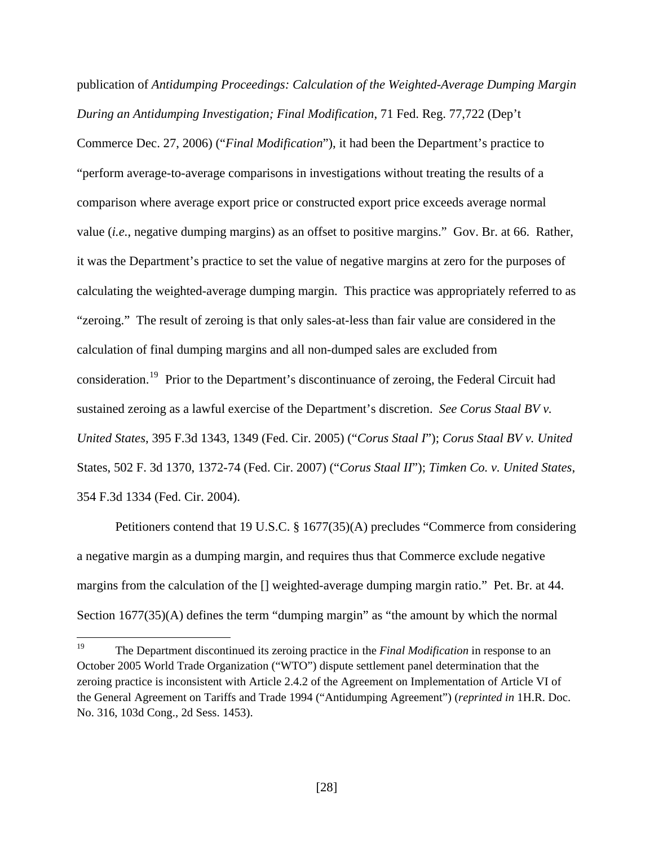publication of *Antidumping Proceedings: Calculation of the Weighted-Average Dumping Margin During an Antidumping Investigation; Final Modification*, 71 Fed. Reg. 77,722 (Dep't Commerce Dec. 27, 2006) ("*Final Modification*"), it had been the Department's practice to "perform average-to-average comparisons in investigations without treating the results of a comparison where average export price or constructed export price exceeds average normal value (*i.e.*, negative dumping margins) as an offset to positive margins." Gov. Br. at 66. Rather, it was the Department's practice to set the value of negative margins at zero for the purposes of calculating the weighted-average dumping margin. This practice was appropriately referred to as "zeroing." The result of zeroing is that only sales-at-less than fair value are considered in the calculation of final dumping margins and all non-dumped sales are excluded from consideration.[19](#page-27-0) Prior to the Department's discontinuance of zeroing, the Federal Circuit had sustained zeroing as a lawful exercise of the Department's discretion. *See Corus Staal BV v. United States*, 395 F.3d 1343, 1349 (Fed. Cir. 2005) ("*Corus Staal I*"); *Corus Staal BV v. United*  States, 502 F. 3d 1370, 1372-74 (Fed. Cir. 2007) ("*Corus Staal II*"); *Timken Co. v. United States*, 354 F.3d 1334 (Fed. Cir. 2004).

Petitioners contend that 19 U.S.C. § 1677(35)(A) precludes "Commerce from considering a negative margin as a dumping margin, and requires thus that Commerce exclude negative margins from the calculation of the [] weighted-average dumping margin ratio." Pet. Br. at 44. Section 1677(35)(A) defines the term "dumping margin" as "the amount by which the normal

<span id="page-27-0"></span><sup>19</sup> 19 The Department discontinued its zeroing practice in the *Final Modification* in response to an October 2005 World Trade Organization ("WTO") dispute settlement panel determination that the zeroing practice is inconsistent with Article 2.4.2 of the Agreement on Implementation of Article VI of the General Agreement on Tariffs and Trade 1994 ("Antidumping Agreement") (*reprinted in* 1H.R. Doc. No. 316, 103d Cong., 2d Sess. 1453).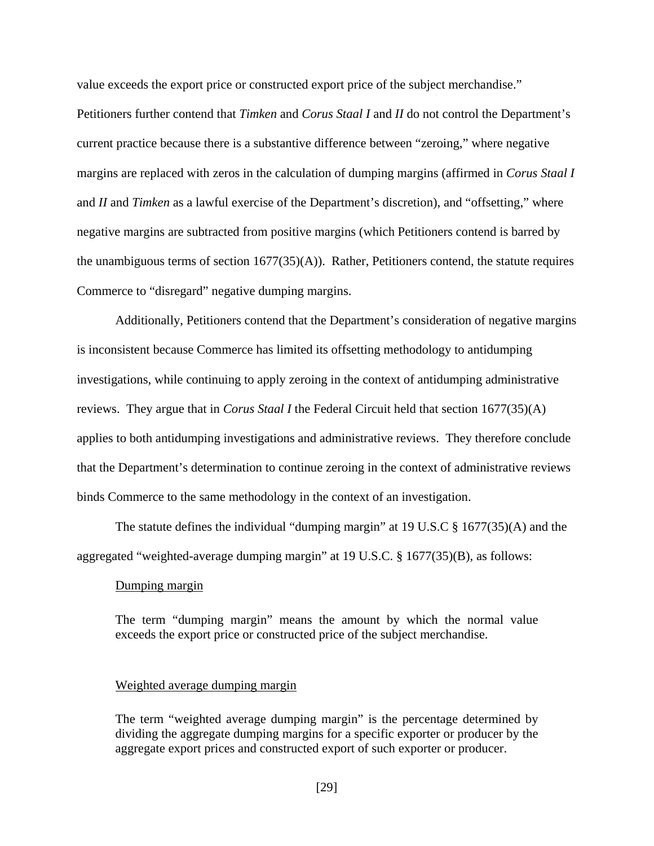value exceeds the export price or constructed export price of the subject merchandise."

Petitioners further contend that *Timken* and *Corus Staal I* and *II* do not control the Department's current practice because there is a substantive difference between "zeroing," where negative margins are replaced with zeros in the calculation of dumping margins (affirmed in *Corus Staal I*  and *II* and *Timken* as a lawful exercise of the Department's discretion), and "offsetting," where negative margins are subtracted from positive margins (which Petitioners contend is barred by the unambiguous terms of section 1677(35)(A)).Rather, Petitioners contend, the statute requires Commerce to "disregard" negative dumping margins.

Additionally, Petitioners contend that the Department's consideration of negative margins is inconsistent because Commerce has limited its offsetting methodology to antidumping investigations, while continuing to apply zeroing in the context of antidumping administrative reviews. They argue that in *Corus Staal I* the Federal Circuit held that section 1677(35)(A) applies to both antidumping investigations and administrative reviews. They therefore conclude that the Department's determination to continue zeroing in the context of administrative reviews binds Commerce to the same methodology in the context of an investigation.

The statute defines the individual "dumping margin" at 19 U.S.C § 1677(35)(A) and the aggregated "weighted-average dumping margin" at 19 U.S.C. § 1677(35)(B), as follows:

#### Dumping margin

The term "dumping margin" means the amount by which the normal value exceeds the export price or constructed price of the subject merchandise.

# Weighted average dumping margin

The term "weighted average dumping margin" is the percentage determined by dividing the aggregate dumping margins for a specific exporter or producer by the aggregate export prices and constructed export of such exporter or producer.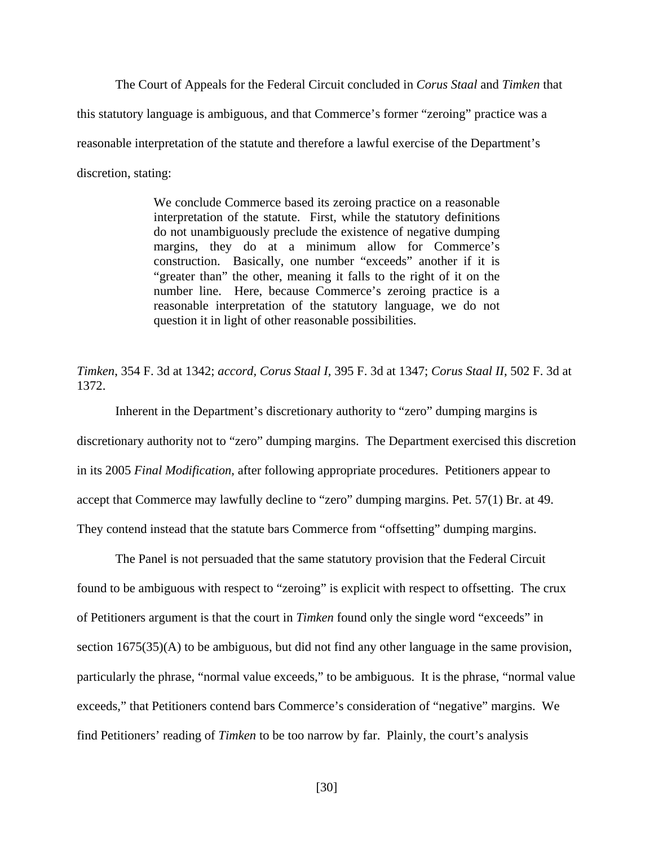The Court of Appeals for the Federal Circuit concluded in *Corus Staal* and *Timken* that this statutory language is ambiguous, and that Commerce's former "zeroing" practice was a reasonable interpretation of the statute and therefore a lawful exercise of the Department's discretion, stating:

> We conclude Commerce based its zeroing practice on a reasonable interpretation of the statute. First, while the statutory definitions do not unambiguously preclude the existence of negative dumping margins, they do at a minimum allow for Commerce's construction. Basically, one number "exceeds" another if it is "greater than" the other, meaning it falls to the right of it on the number line. Here, because Commerce's zeroing practice is a reasonable interpretation of the statutory language, we do not question it in light of other reasonable possibilities.

*Timken*, 354 F. 3d at 1342; *accord, Corus Staal I,* 395 F. 3d at 1347; *Corus Staal II*, 502 F. 3d at 1372.

Inherent in the Department's discretionary authority to "zero" dumping margins is discretionary authority not to "zero" dumping margins. The Department exercised this discretion in its 2005 *Final Modification*, after following appropriate procedures. Petitioners appear to accept that Commerce may lawfully decline to "zero" dumping margins. Pet. 57(1) Br. at 49. They contend instead that the statute bars Commerce from "offsetting" dumping margins.

The Panel is not persuaded that the same statutory provision that the Federal Circuit found to be ambiguous with respect to "zeroing" is explicit with respect to offsetting. The crux of Petitioners argument is that the court in *Timken* found only the single word "exceeds" in section  $1675(35)(A)$  to be ambiguous, but did not find any other language in the same provision, particularly the phrase, "normal value exceeds," to be ambiguous. It is the phrase, "normal value exceeds," that Petitioners contend bars Commerce's consideration of "negative" margins. We find Petitioners' reading of *Timken* to be too narrow by far. Plainly, the court's analysis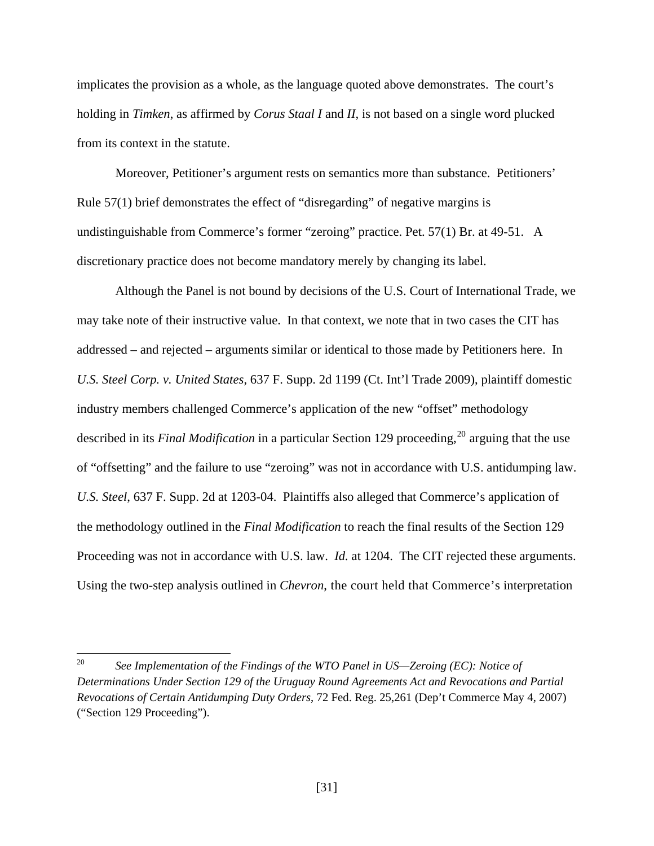implicates the provision as a whole, as the language quoted above demonstrates. The court's holding in *Timken*, as affirmed by *Corus Staal I* and *II*, is not based on a single word plucked from its context in the statute.

Moreover, Petitioner's argument rests on semantics more than substance. Petitioners' Rule 57(1) brief demonstrates the effect of "disregarding" of negative margins is undistinguishable from Commerce's former "zeroing" practice. Pet. 57(1) Br. at 49-51. A discretionary practice does not become mandatory merely by changing its label.

Although the Panel is not bound by decisions of the U.S. Court of International Trade, we may take note of their instructive value. In that context, we note that in two cases the CIT has addressed – and rejected – arguments similar or identical to those made by Petitioners here. In *U.S. Steel Corp. v. United States*, 637 F. Supp. 2d 1199 (Ct. Int'l Trade 2009), plaintiff domestic industry members challenged Commerce's application of the new "offset" methodology described in its *Final Modification* in a particular Section 129 proceeding,<sup>[20](#page-30-0)</sup> arguing that the use of "offsetting" and the failure to use "zeroing" was not in accordance with U.S. antidumping law. *U.S. Steel*, 637 F. Supp. 2d at 1203-04. Plaintiffs also alleged that Commerce's application of the methodology outlined in the *Final Modification* to reach the final results of the Section 129 Proceeding was not in accordance with U.S. law. *Id.* at 1204. The CIT rejected these arguments. Using the two-step analysis outlined in *Chevron*, the court held that Commerce's interpretation

<span id="page-30-0"></span> $20\,$ 20 *See Implementation of the Findings of the WTO Panel in US—Zeroing (EC): Notice of Determinations Under Section 129 of the Uruguay Round Agreements Act and Revocations and Partial Revocations of Certain Antidumping Duty Orders*, 72 Fed. Reg. 25,261 (Dep't Commerce May 4, 2007) ("Section 129 Proceeding").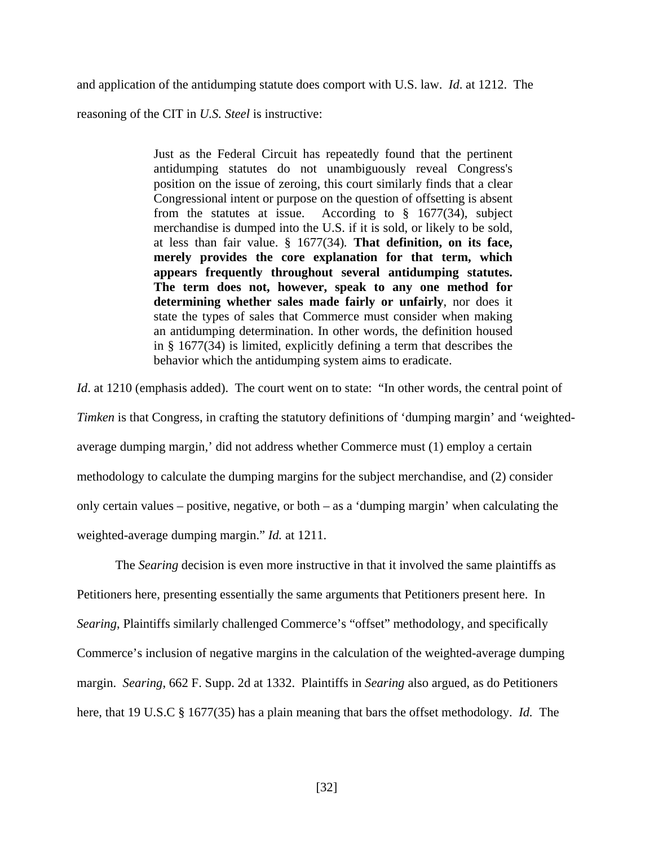and application of the antidumping statute does comport with U.S. law. *Id*. at 1212. The

reasoning of the CIT in *U.S. Steel* is instructive:

Just as the Federal Circuit has repeatedly found that the pertinent antidumping statutes do not unambiguously reveal Congress's position on the issue of zeroing, this court similarly finds that a clear Congressional intent or purpose on the question of offsetting is absent from the statutes at issue. According to § 1677(34), subject merchandise is dumped into the U.S. if it is sold, or likely to be sold, at less than fair value. § 1677(34)*.* **That definition, on its face, merely provides the core explanation for that term, which appears frequently throughout several antidumping statutes. The term does not, however, speak to any one method for determining whether sales made fairly or unfairly**, nor does it state the types of sales that Commerce must consider when making an antidumping determination. In other words, the definition housed in § 1677(34) is limited, explicitly defining a term that describes the behavior which the antidumping system aims to eradicate.

*Id.* at 1210 (emphasis added). The court went on to state: "In other words, the central point of *Timken* is that Congress, in crafting the statutory definitions of 'dumping margin' and 'weightedaverage dumping margin,' did not address whether Commerce must (1) employ a certain methodology to calculate the dumping margins for the subject merchandise, and (2) consider only certain values – positive, negative, or both – as a 'dumping margin' when calculating the weighted-average dumping margin." *Id.* at 1211.

The *Searing* decision is even more instructive in that it involved the same plaintiffs as Petitioners here, presenting essentially the same arguments that Petitioners present here. In *Searing*, Plaintiffs similarly challenged Commerce's "offset" methodology, and specifically Commerce's inclusion of negative margins in the calculation of the weighted-average dumping margin. *Searing*, 662 F. Supp. 2d at 1332. Plaintiffs in *Searing* also argued, as do Petitioners here, that 19 U.S.C § 1677(35) has a plain meaning that bars the offset methodology. *Id.* The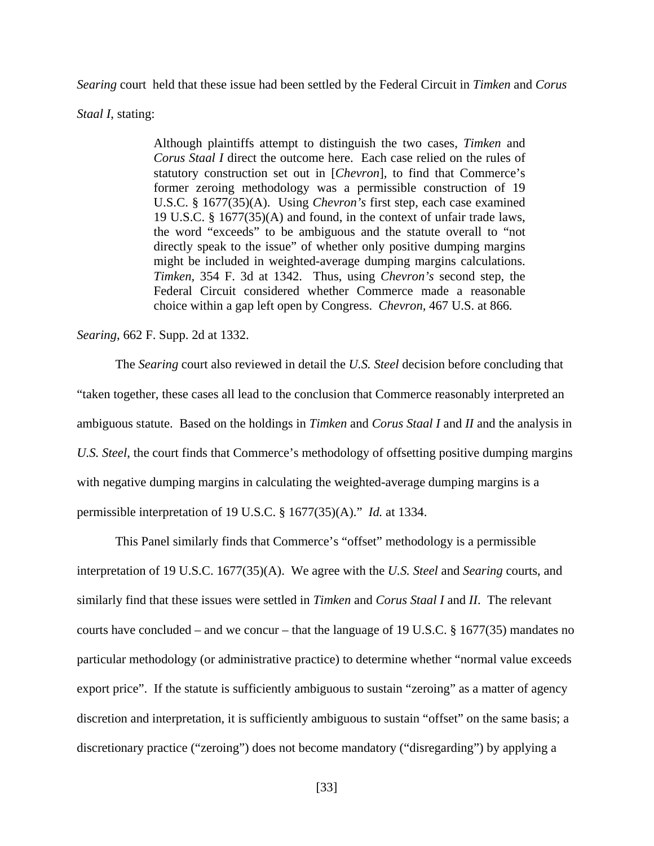*Searing* court held that these issue had been settled by the Federal Circuit in *Timken* and *Corus* 

*Staal I*, stating:

Although plaintiffs attempt to distinguish the two cases, *Timken* and *Corus Staal I* direct the outcome here. Each case relied on the rules of statutory construction set out in [*Chevron*]*,* to find that Commerce's former zeroing methodology was a permissible construction of 19 U.S.C. § 1677(35)(A). Using *Chevron's* first step, each case examined 19 U.S.C. § 1677(35)(A) and found, in the context of unfair trade laws, the word "exceeds" to be ambiguous and the statute overall to "not directly speak to the issue" of whether only positive dumping margins might be included in weighted-average dumping margins calculations. *Timken,* 354 F. 3d at 1342.Thus, using *Chevron's* second step, the Federal Circuit considered whether Commerce made a reasonable choice within a gap left open by Congress. *Chevron,* 467 U.S. at 866*.* 

*Searing*, 662 F. Supp. 2d at 1332.

The *Searing* court also reviewed in detail the *U.S. Steel* decision before concluding that "taken together, these cases all lead to the conclusion that Commerce reasonably interpreted an ambiguous statute. Based on the holdings in *Timken* and *Corus Staal I* and *II* and the analysis in *U.S. Steel*, the court finds that Commerce's methodology of offsetting positive dumping margins with negative dumping margins in calculating the weighted-average dumping margins is a permissible interpretation of 19 U.S.C. § 1677(35)(A)." *Id.* at 1334.

This Panel similarly finds that Commerce's "offset" methodology is a permissible interpretation of 19 U.S.C. 1677(35)(A). We agree with the *U.S. Steel* and *Searing* courts, and similarly find that these issues were settled in *Timken* and *Corus Staal I* and *II*. The relevant courts have concluded – and we concur – that the language of 19 U.S.C. § 1677(35) mandates no particular methodology (or administrative practice) to determine whether "normal value exceeds export price". If the statute is sufficiently ambiguous to sustain "zeroing" as a matter of agency discretion and interpretation, it is sufficiently ambiguous to sustain "offset" on the same basis; a discretionary practice ("zeroing") does not become mandatory ("disregarding") by applying a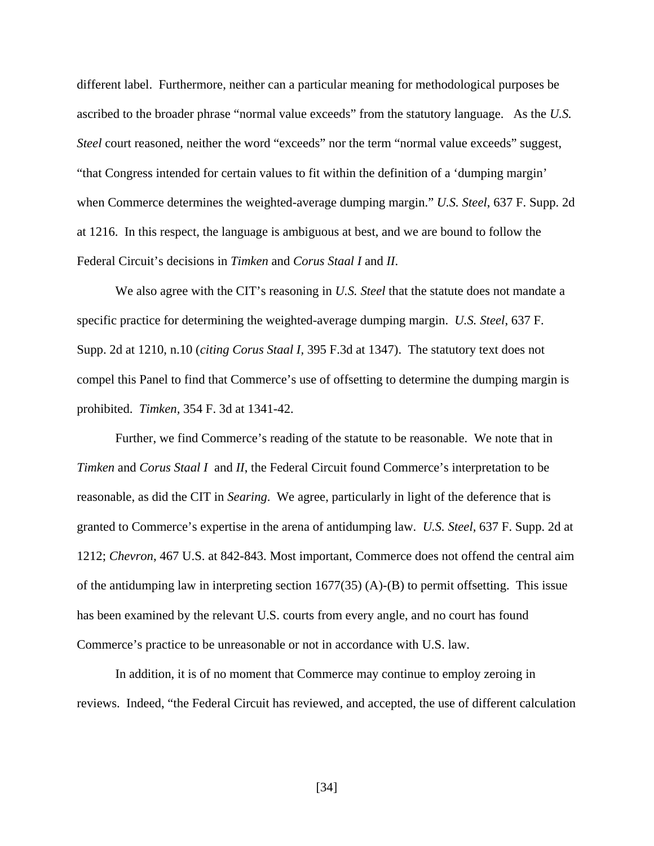different label. Furthermore, neither can a particular meaning for methodological purposes be ascribed to the broader phrase "normal value exceeds" from the statutory language. As the *U.S. Steel* court reasoned, neither the word "exceeds" nor the term "normal value exceeds" suggest, "that Congress intended for certain values to fit within the definition of a 'dumping margin' when Commerce determines the weighted-average dumping margin." *U.S. Steel*, 637 F. Supp. 2d at 1216. In this respect, the language is ambiguous at best, and we are bound to follow the Federal Circuit's decisions in *Timken* and *Corus Staal I* and *II*.

We also agree with the CIT's reasoning in *U.S. Steel* that the statute does not mandate a specific practice for determining the weighted-average dumping margin. *U.S. Steel*, 637 F. Supp. 2d at 1210, n.10 (*citing Corus Staal I,* 395 F.3d at 1347). The statutory text does not compel this Panel to find that Commerce's use of offsetting to determine the dumping margin is prohibited. *Timken,* 354 F. 3d at 1341-42.

Further, we find Commerce's reading of the statute to be reasonable. We note that in *Timken* and *Corus Staal I* and *II*, the Federal Circuit found Commerce's interpretation to be reasonable, as did the CIT in *Searing*. We agree, particularly in light of the deference that is granted to Commerce's expertise in the arena of antidumping law. *U.S. Steel,* 637 F. Supp. 2d at 1212; *Chevron*, 467 U.S. at 842-843. Most important, Commerce does not offend the central aim of the antidumping law in interpreting section  $1677(35)$  (A)-(B) to permit offsetting. This issue has been examined by the relevant U.S. courts from every angle, and no court has found Commerce's practice to be unreasonable or not in accordance with U.S. law.

In addition, it is of no moment that Commerce may continue to employ zeroing in reviews. Indeed, "the Federal Circuit has reviewed, and accepted, the use of different calculation

[34]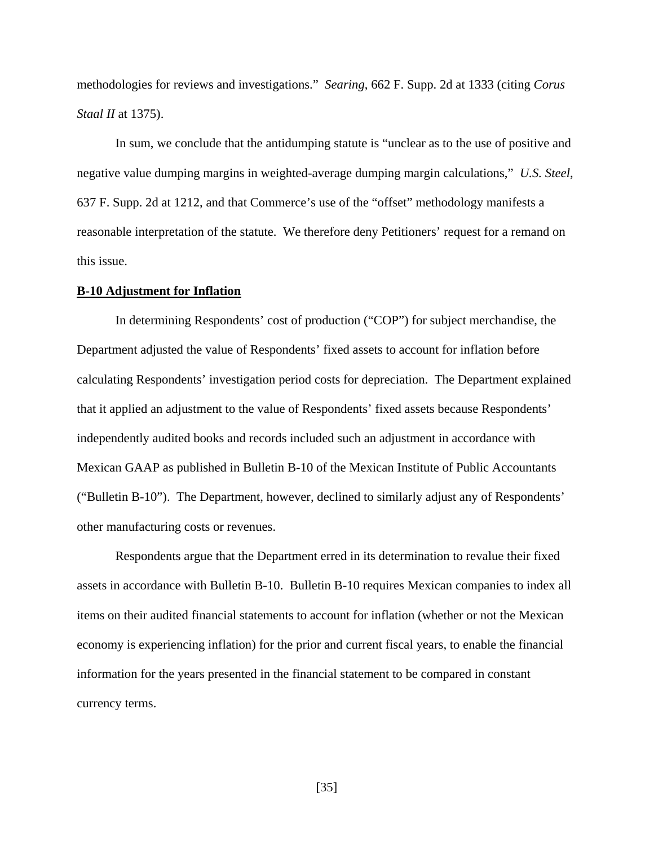methodologies for reviews and investigations." *Searing*, 662 F. Supp. 2d at 1333 (citing *Corus Staal II* at 1375).

In sum, we conclude that the antidumping statute is "unclear as to the use of positive and negative value dumping margins in weighted-average dumping margin calculations," *U.S. Steel*, 637 F. Supp. 2d at 1212, and that Commerce's use of the "offset" methodology manifests a reasonable interpretation of the statute. We therefore deny Petitioners' request for a remand on this issue.

#### **B-10 Adjustment for Inflation**

In determining Respondents' cost of production ("COP") for subject merchandise, the Department adjusted the value of Respondents' fixed assets to account for inflation before calculating Respondents' investigation period costs for depreciation. The Department explained that it applied an adjustment to the value of Respondents' fixed assets because Respondents' independently audited books and records included such an adjustment in accordance with Mexican GAAP as published in Bulletin B-10 of the Mexican Institute of Public Accountants ("Bulletin B-10"). The Department, however, declined to similarly adjust any of Respondents' other manufacturing costs or revenues.

 Respondents argue that the Department erred in its determination to revalue their fixed assets in accordance with Bulletin B-10. Bulletin B-10 requires Mexican companies to index all items on their audited financial statements to account for inflation (whether or not the Mexican economy is experiencing inflation) for the prior and current fiscal years, to enable the financial information for the years presented in the financial statement to be compared in constant currency terms.

[35]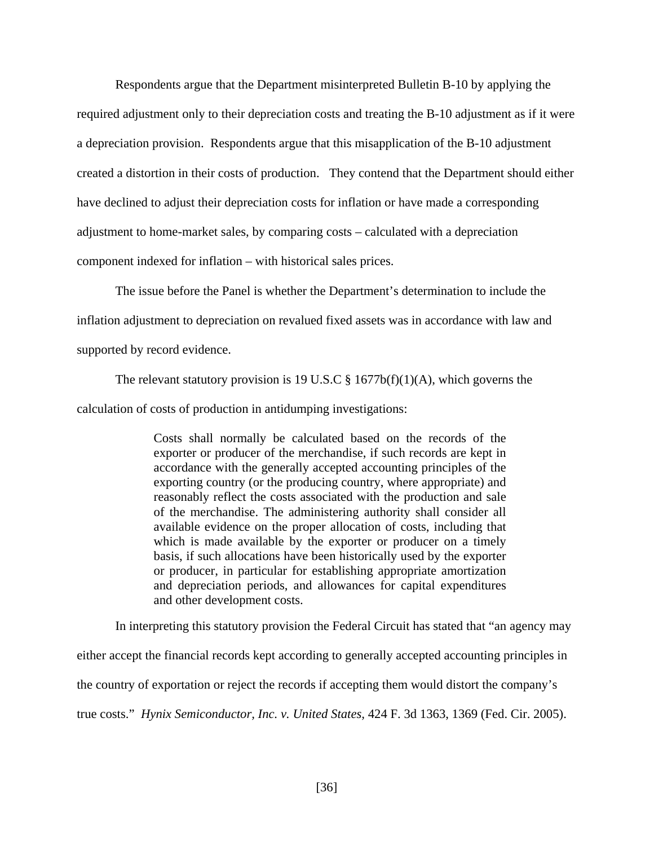Respondents argue that the Department misinterpreted Bulletin B-10 by applying the required adjustment only to their depreciation costs and treating the B-10 adjustment as if it were a depreciation provision. Respondents argue that this misapplication of the B-10 adjustment created a distortion in their costs of production. They contend that the Department should either have declined to adjust their depreciation costs for inflation or have made a corresponding adjustment to home-market sales, by comparing costs – calculated with a depreciation component indexed for inflation – with historical sales prices.

 The issue before the Panel is whether the Department's determination to include the inflation adjustment to depreciation on revalued fixed assets was in accordance with law and supported by record evidence.

The relevant statutory provision is 19 U.S.C  $\S$  1677b(f)(1)(A), which governs the calculation of costs of production in antidumping investigations:

> Costs shall normally be calculated based on the records of the exporter or producer of the merchandise, if such records are kept in accordance with the generally accepted accounting principles of the exporting country (or the producing country, where appropriate) and reasonably reflect the costs associated with the production and sale of the merchandise. The administering authority shall consider all available evidence on the proper allocation of costs, including that which is made available by the exporter or producer on a timely basis, if such allocations have been historically used by the exporter or producer, in particular for establishing appropriate amortization and depreciation periods, and allowances for capital expenditures and other development costs.

 In interpreting this statutory provision the Federal Circuit has stated that "an agency may either accept the financial records kept according to generally accepted accounting principles in the country of exportation or reject the records if accepting them would distort the company's true costs." *Hynix Semiconductor, Inc. v. United States,* 424 F. 3d 1363, 1369 (Fed. Cir. 2005).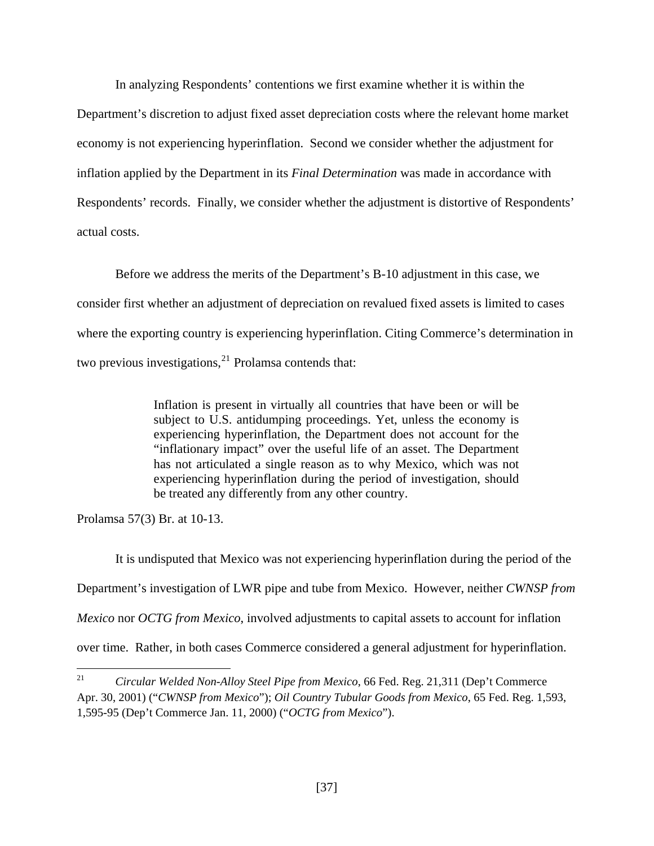In analyzing Respondents' contentions we first examine whether it is within the

Department's discretion to adjust fixed asset depreciation costs where the relevant home market economy is not experiencing hyperinflation. Second we consider whether the adjustment for inflation applied by the Department in its *Final Determination* was made in accordance with Respondents' records. Finally, we consider whether the adjustment is distortive of Respondents' actual costs.

 Before we address the merits of the Department's B-10 adjustment in this case, we consider first whether an adjustment of depreciation on revalued fixed assets is limited to cases where the exporting country is experiencing hyperinflation. Citing Commerce's determination in two previous investigations, $^{21}$  $^{21}$  $^{21}$  Prolamsa contends that:

> Inflation is present in virtually all countries that have been or will be subject to U.S. antidumping proceedings. Yet, unless the economy is experiencing hyperinflation, the Department does not account for the "inflationary impact" over the useful life of an asset. The Department has not articulated a single reason as to why Mexico, which was not experiencing hyperinflation during the period of investigation, should be treated any differently from any other country.

Prolamsa 57(3) Br. at 10-13.

 It is undisputed that Mexico was not experiencing hyperinflation during the period of the Department's investigation of LWR pipe and tube from Mexico. However, neither *CWNSP from Mexico* nor *OCTG from Mexico*, involved adjustments to capital assets to account for inflation over time. Rather, in both cases Commerce considered a general adjustment for hyperinflation.

<span id="page-36-0"></span><sup>21</sup> 21 *Circular Welded Non-Alloy Steel Pipe from Mexico*, 66 Fed. Reg. 21,311 (Dep't Commerce Apr. 30, 2001) ("*CWNSP from Mexico*"); *Oil Country Tubular Goods from Mexico*, 65 Fed. Reg. 1,593, 1,595-95 (Dep't Commerce Jan. 11, 2000) ("*OCTG from Mexico*").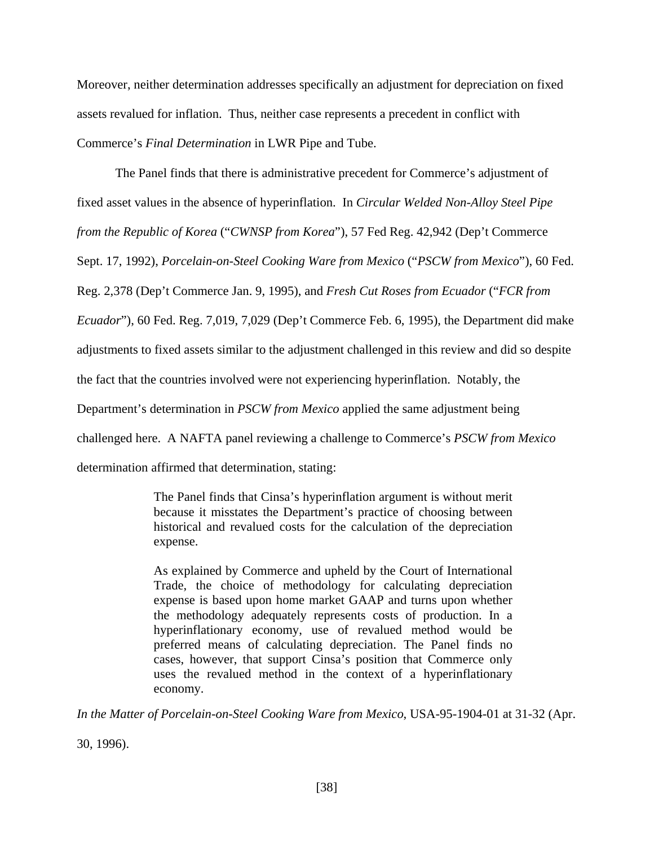Moreover, neither determination addresses specifically an adjustment for depreciation on fixed assets revalued for inflation. Thus, neither case represents a precedent in conflict with Commerce's *Final Determination* in LWR Pipe and Tube.

 The Panel finds that there is administrative precedent for Commerce's adjustment of fixed asset values in the absence of hyperinflation. In *Circular Welded Non-Alloy Steel Pipe from the Republic of Korea* ("*CWNSP from Korea*"), 57 Fed Reg. 42,942 (Dep't Commerce Sept. 17, 1992), *Porcelain-on-Steel Cooking Ware from Mexico* ("*PSCW from Mexico*"), 60 Fed. Reg. 2,378 (Dep't Commerce Jan. 9, 1995), and *Fresh Cut Roses from Ecuador* ("*FCR from Ecuador*"), 60 Fed. Reg. 7,019, 7,029 (Dep't Commerce Feb. 6, 1995), the Department did make adjustments to fixed assets similar to the adjustment challenged in this review and did so despite the fact that the countries involved were not experiencing hyperinflation. Notably, the Department's determination in *PSCW from Mexico* applied the same adjustment being challenged here. A NAFTA panel reviewing a challenge to Commerce's *PSCW from Mexico* determination affirmed that determination, stating:

> The Panel finds that Cinsa's hyperinflation argument is without merit because it misstates the Department's practice of choosing between historical and revalued costs for the calculation of the depreciation expense.

> As explained by Commerce and upheld by the Court of International Trade, the choice of methodology for calculating depreciation expense is based upon home market GAAP and turns upon whether the methodology adequately represents costs of production. In a hyperinflationary economy, use of revalued method would be preferred means of calculating depreciation. The Panel finds no cases, however, that support Cinsa's position that Commerce only uses the revalued method in the context of a hyperinflationary economy.

*In the Matter of Porcelain-on-Steel Cooking Ware from Mexico*, USA-95-1904-01 at 31-32 (Apr.

30, 1996).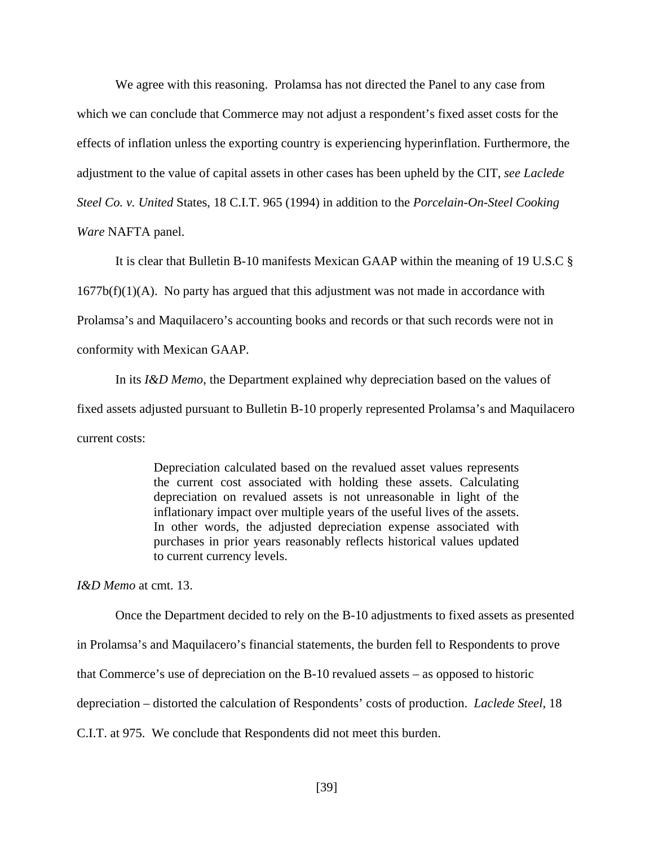We agree with this reasoning. Prolamsa has not directed the Panel to any case from which we can conclude that Commerce may not adjust a respondent's fixed asset costs for the effects of inflation unless the exporting country is experiencing hyperinflation. Furthermore, the adjustment to the value of capital assets in other cases has been upheld by the CIT, *see Laclede Steel Co. v. United* States, 18 C.I.T. 965 (1994) in addition to the *Porcelain-On-Steel Cooking Ware* NAFTA panel.

 It is clear that Bulletin B-10 manifests Mexican GAAP within the meaning of 19 U.S.C §  $1677b(f)(1)(A)$ . No party has argued that this adjustment was not made in accordance with Prolamsa's and Maquilacero's accounting books and records or that such records were not in conformity with Mexican GAAP.

 In its *I&D Memo*, the Department explained why depreciation based on the values of fixed assets adjusted pursuant to Bulletin B-10 properly represented Prolamsa's and Maquilacero current costs:

> Depreciation calculated based on the revalued asset values represents the current cost associated with holding these assets. Calculating depreciation on revalued assets is not unreasonable in light of the inflationary impact over multiple years of the useful lives of the assets. In other words, the adjusted depreciation expense associated with purchases in prior years reasonably reflects historical values updated to current currency levels.

*I&D Memo* at cmt. 13.

 Once the Department decided to rely on the B-10 adjustments to fixed assets as presented in Prolamsa's and Maquilacero's financial statements, the burden fell to Respondents to prove that Commerce's use of depreciation on the B-10 revalued assets – as opposed to historic depreciation – distorted the calculation of Respondents' costs of production. *Laclede Steel,* 18 C.I.T. at 975. We conclude that Respondents did not meet this burden.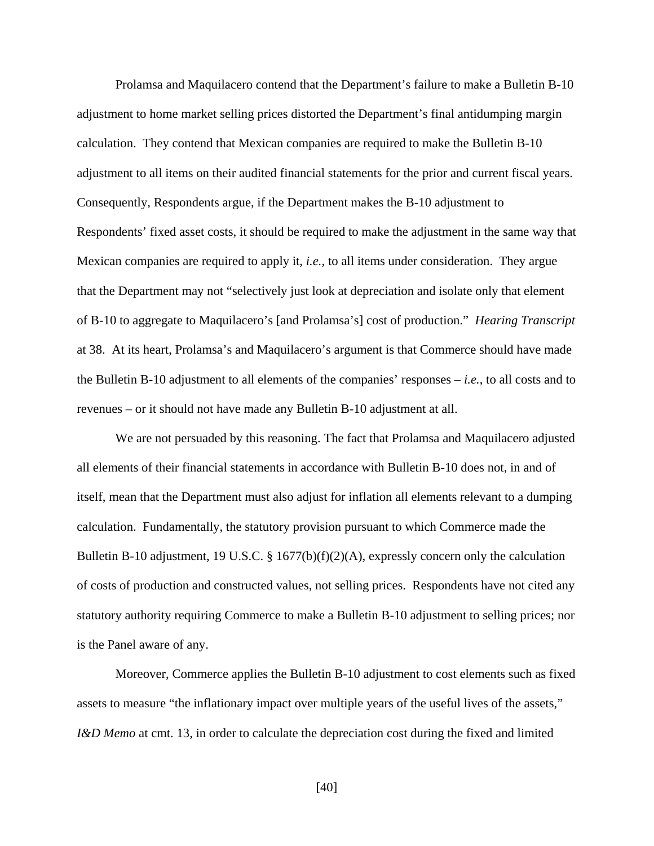Prolamsa and Maquilacero contend that the Department's failure to make a Bulletin B-10 adjustment to home market selling prices distorted the Department's final antidumping margin calculation. They contend that Mexican companies are required to make the Bulletin B-10 adjustment to all items on their audited financial statements for the prior and current fiscal years. Consequently, Respondents argue, if the Department makes the B-10 adjustment to Respondents' fixed asset costs, it should be required to make the adjustment in the same way that Mexican companies are required to apply it, *i.e.,* to all items under consideration. They argue that the Department may not "selectively just look at depreciation and isolate only that element of B-10 to aggregate to Maquilacero's [and Prolamsa's] cost of production." *Hearing Transcript*  at 38. At its heart, Prolamsa's and Maquilacero's argument is that Commerce should have made the Bulletin B-10 adjustment to all elements of the companies' responses – *i.e.*, to all costs and to revenues – or it should not have made any Bulletin B-10 adjustment at all.

 We are not persuaded by this reasoning. The fact that Prolamsa and Maquilacero adjusted all elements of their financial statements in accordance with Bulletin B-10 does not, in and of itself, mean that the Department must also adjust for inflation all elements relevant to a dumping calculation. Fundamentally, the statutory provision pursuant to which Commerce made the Bulletin B-10 adjustment, 19 U.S.C. § 1677(b)(f)(2)(A), expressly concern only the calculation of costs of production and constructed values, not selling prices. Respondents have not cited any statutory authority requiring Commerce to make a Bulletin B-10 adjustment to selling prices; nor is the Panel aware of any.

 Moreover, Commerce applies the Bulletin B-10 adjustment to cost elements such as fixed assets to measure "the inflationary impact over multiple years of the useful lives of the assets," *I&D Memo* at cmt. 13, in order to calculate the depreciation cost during the fixed and limited

[40]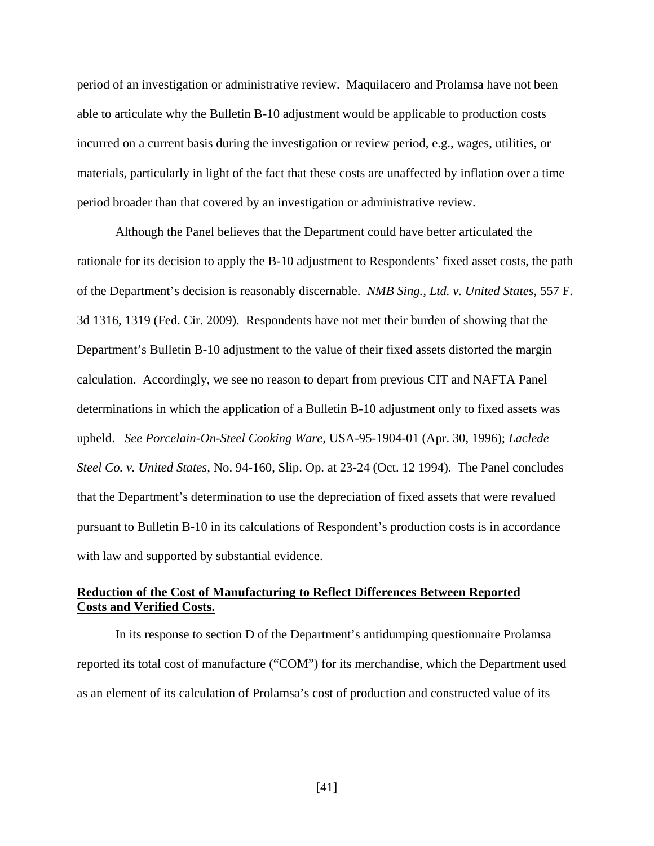period of an investigation or administrative review. Maquilacero and Prolamsa have not been able to articulate why the Bulletin B-10 adjustment would be applicable to production costs incurred on a current basis during the investigation or review period, e.g., wages, utilities, or materials, particularly in light of the fact that these costs are unaffected by inflation over a time period broader than that covered by an investigation or administrative review.

 Although the Panel believes that the Department could have better articulated the rationale for its decision to apply the B-10 adjustment to Respondents' fixed asset costs, the path of the Department's decision is reasonably discernable. *NMB Sing., Ltd. v. United States*, 557 F. 3d 1316, 1319 (Fed. Cir. 2009). Respondents have not met their burden of showing that the Department's Bulletin B-10 adjustment to the value of their fixed assets distorted the margin calculation. Accordingly, we see no reason to depart from previous CIT and NAFTA Panel determinations in which the application of a Bulletin B-10 adjustment only to fixed assets was upheld. *See Porcelain-On-Steel Cooking Ware,* USA-95-1904-01 (Apr. 30, 1996); *Laclede Steel Co. v. United States,* No. 94-160, Slip. Op. at 23-24 (Oct. 12 1994). The Panel concludes that the Department's determination to use the depreciation of fixed assets that were revalued pursuant to Bulletin B-10 in its calculations of Respondent's production costs is in accordance with law and supported by substantial evidence.

# **Reduction of the Cost of Manufacturing to Reflect Differences Between Reported Costs and Verified Costs.**

 In its response to section D of the Department's antidumping questionnaire Prolamsa reported its total cost of manufacture ("COM") for its merchandise, which the Department used as an element of its calculation of Prolamsa's cost of production and constructed value of its

[41]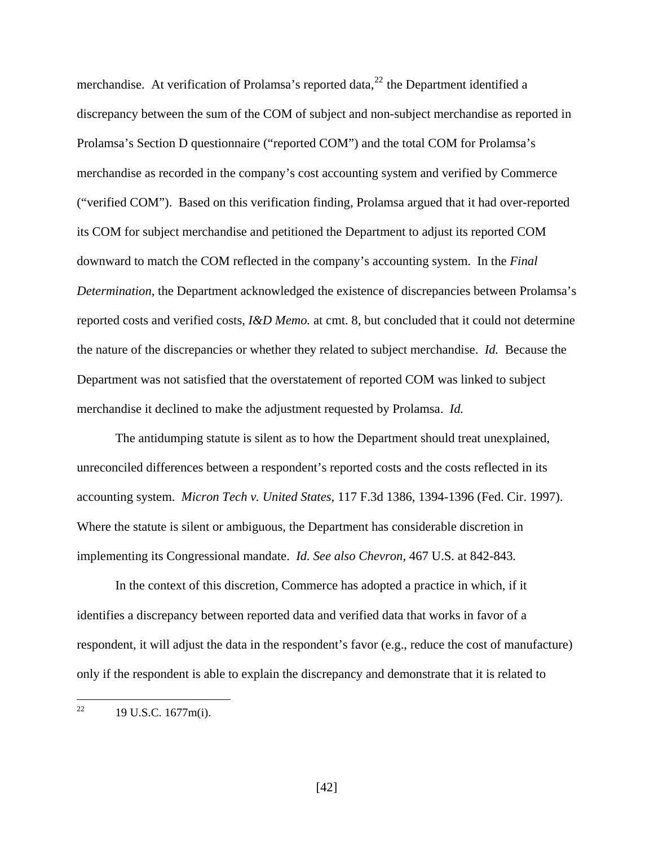merchandise. At verification of Prolamsa's reported data, $^{22}$  $^{22}$  $^{22}$  the Department identified a discrepancy between the sum of the COM of subject and non-subject merchandise as reported in Prolamsa's Section D questionnaire ("reported COM") and the total COM for Prolamsa's merchandise as recorded in the company's cost accounting system and verified by Commerce ("verified COM"). Based on this verification finding, Prolamsa argued that it had over-reported its COM for subject merchandise and petitioned the Department to adjust its reported COM downward to match the COM reflected in the company's accounting system. In the *Final Determination*, the Department acknowledged the existence of discrepancies between Prolamsa's reported costs and verified costs, *I&D Memo.* at cmt. 8, but concluded that it could not determine the nature of the discrepancies or whether they related to subject merchandise. *Id.* Because the Department was not satisfied that the overstatement of reported COM was linked to subject merchandise it declined to make the adjustment requested by Prolamsa. *Id.*

 The antidumping statute is silent as to how the Department should treat unexplained, unreconciled differences between a respondent's reported costs and the costs reflected in its accounting system. *Micron Tech v. United States*, 117 F.3d 1386, 1394-1396 (Fed. Cir. 1997). Where the statute is silent or ambiguous, the Department has considerable discretion in implementing its Congressional mandate. *Id. See also Chevron*, 467 U.S. at 842-843*.* 

In the context of this discretion, Commerce has adopted a practice in which, if it identifies a discrepancy between reported data and verified data that works in favor of a respondent, it will adjust the data in the respondent's favor (e.g., reduce the cost of manufacture) only if the respondent is able to explain the discrepancy and demonstrate that it is related to

<span id="page-41-0"></span><sup>22</sup> 22 19 U.S.C. 1677m(i).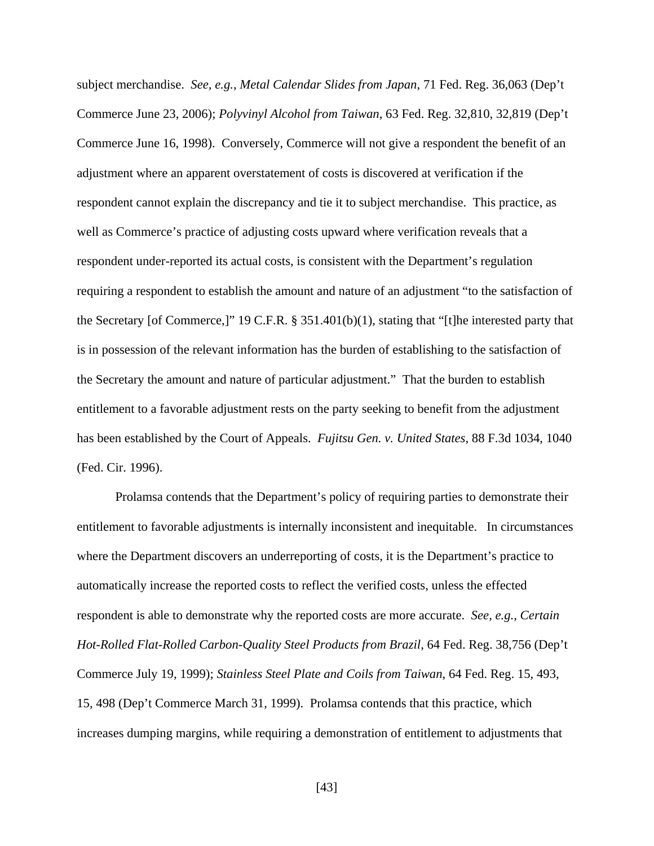subject merchandise. *See, e.g.*, *Metal Calendar Slides from Japan*, 71 Fed. Reg. 36,063 (Dep't Commerce June 23, 2006); *Polyvinyl Alcohol from Taiwan*, 63 Fed. Reg. 32,810, 32,819 (Dep't Commerce June 16, 1998). Conversely, Commerce will not give a respondent the benefit of an adjustment where an apparent overstatement of costs is discovered at verification if the respondent cannot explain the discrepancy and tie it to subject merchandise. This practice, as well as Commerce's practice of adjusting costs upward where verification reveals that a respondent under-reported its actual costs, is consistent with the Department's regulation requiring a respondent to establish the amount and nature of an adjustment "to the satisfaction of the Secretary [of Commerce,]" 19 C.F.R. § 351.401(b)(1), stating that "[t]he interested party that is in possession of the relevant information has the burden of establishing to the satisfaction of the Secretary the amount and nature of particular adjustment." That the burden to establish entitlement to a favorable adjustment rests on the party seeking to benefit from the adjustment has been established by the Court of Appeals. *Fujitsu Gen. v. United States*, 88 F.3d 1034, 1040 (Fed. Cir. 1996).

 Prolamsa contends that the Department's policy of requiring parties to demonstrate their entitlement to favorable adjustments is internally inconsistent and inequitable. In circumstances where the Department discovers an underreporting of costs, it is the Department's practice to automatically increase the reported costs to reflect the verified costs, unless the effected respondent is able to demonstrate why the reported costs are more accurate. *See, e.g.*, *Certain Hot-Rolled Flat-Rolled Carbon-Quality Steel Products from Brazil*, 64 Fed. Reg. 38,756 (Dep't Commerce July 19, 1999); *Stainless Steel Plate and Coils from Taiwan*, 64 Fed. Reg. 15, 493, 15, 498 (Dep't Commerce March 31, 1999). Prolamsa contends that this practice, which increases dumping margins, while requiring a demonstration of entitlement to adjustments that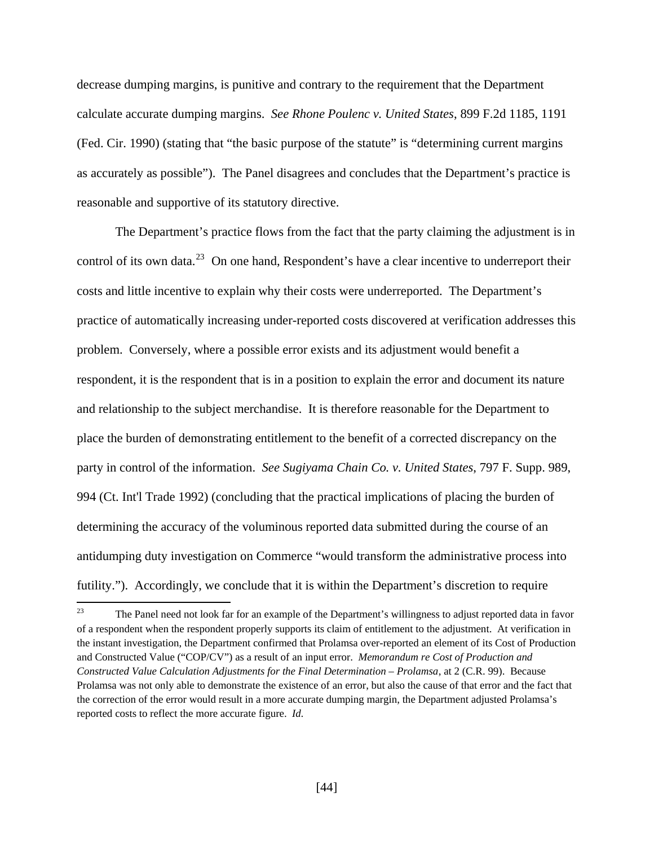decrease dumping margins, is punitive and contrary to the requirement that the Department calculate accurate dumping margins. *See Rhone Poulenc v. United States*, 899 F.2d 1185, 1191 (Fed. Cir. 1990) (stating that "the basic purpose of the statute" is "determining current margins as accurately as possible"). The Panel disagrees and concludes that the Department's practice is reasonable and supportive of its statutory directive.

 The Department's practice flows from the fact that the party claiming the adjustment is in control of its own data.<sup>[23](#page-43-0)</sup> On one hand, Respondent's have a clear incentive to underreport their costs and little incentive to explain why their costs were underreported. The Department's practice of automatically increasing under-reported costs discovered at verification addresses this problem. Conversely, where a possible error exists and its adjustment would benefit a respondent, it is the respondent that is in a position to explain the error and document its nature and relationship to the subject merchandise. It is therefore reasonable for the Department to place the burden of demonstrating entitlement to the benefit of a corrected discrepancy on the party in control of the information. *See Sugiyama Chain Co. v. United States*, 797 F. Supp. 989, 994 (Ct. Int'l Trade 1992) (concluding that the practical implications of placing the burden of determining the accuracy of the voluminous reported data submitted during the course of an antidumping duty investigation on Commerce "would transform the administrative process into futility."). Accordingly, we conclude that it is within the Department's discretion to require

<span id="page-43-0"></span><sup>23</sup> 23 The Panel need not look far for an example of the Department's willingness to adjust reported data in favor of a respondent when the respondent properly supports its claim of entitlement to the adjustment. At verification in the instant investigation, the Department confirmed that Prolamsa over-reported an element of its Cost of Production and Constructed Value ("COP/CV") as a result of an input error. *Memorandum re Cost of Production and Constructed Value Calculation Adjustments for the Final Determination – Prolamsa*, at 2 (C.R. 99). Because Prolamsa was not only able to demonstrate the existence of an error, but also the cause of that error and the fact that the correction of the error would result in a more accurate dumping margin, the Department adjusted Prolamsa's reported costs to reflect the more accurate figure. *Id.*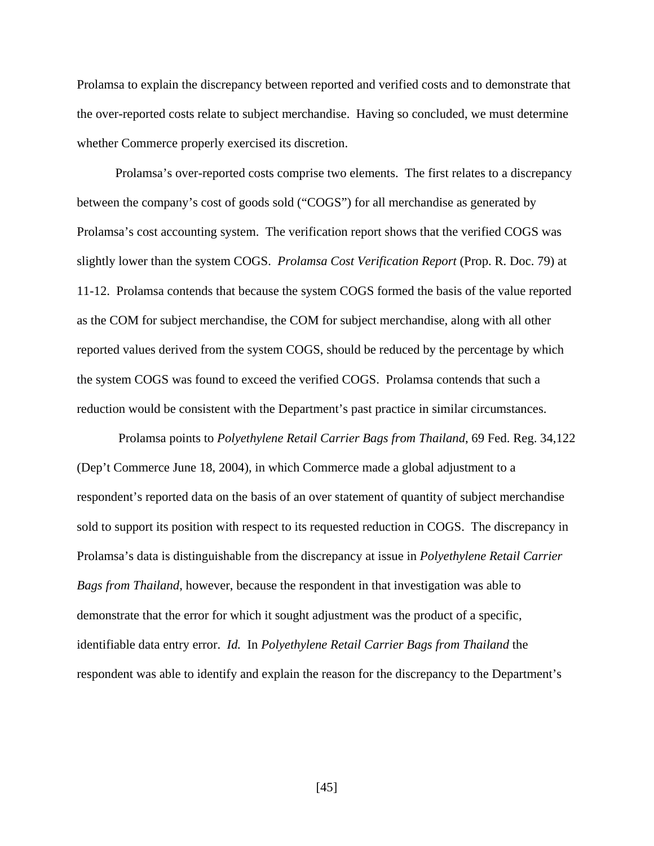Prolamsa to explain the discrepancy between reported and verified costs and to demonstrate that the over-reported costs relate to subject merchandise. Having so concluded, we must determine whether Commerce properly exercised its discretion.

Prolamsa's over-reported costs comprise two elements. The first relates to a discrepancy between the company's cost of goods sold ("COGS") for all merchandise as generated by Prolamsa's cost accounting system. The verification report shows that the verified COGS was slightly lower than the system COGS. *Prolamsa Cost Verification Report* (Prop. R. Doc. 79) at 11-12.Prolamsa contends that because the system COGS formed the basis of the value reported as the COM for subject merchandise, the COM for subject merchandise, along with all other reported values derived from the system COGS, should be reduced by the percentage by which the system COGS was found to exceed the verified COGS. Prolamsa contends that such a reduction would be consistent with the Department's past practice in similar circumstances.

 Prolamsa points to *Polyethylene Retail Carrier Bags from Thailand*, 69 Fed. Reg. 34,122 (Dep't Commerce June 18, 2004), in which Commerce made a global adjustment to a respondent's reported data on the basis of an over statement of quantity of subject merchandise sold to support its position with respect to its requested reduction in COGS. The discrepancy in Prolamsa's data is distinguishable from the discrepancy at issue in *Polyethylene Retail Carrier Bags from Thailand*, however, because the respondent in that investigation was able to demonstrate that the error for which it sought adjustment was the product of a specific, identifiable data entry error. *Id.* In *Polyethylene Retail Carrier Bags from Thailand* the respondent was able to identify and explain the reason for the discrepancy to the Department's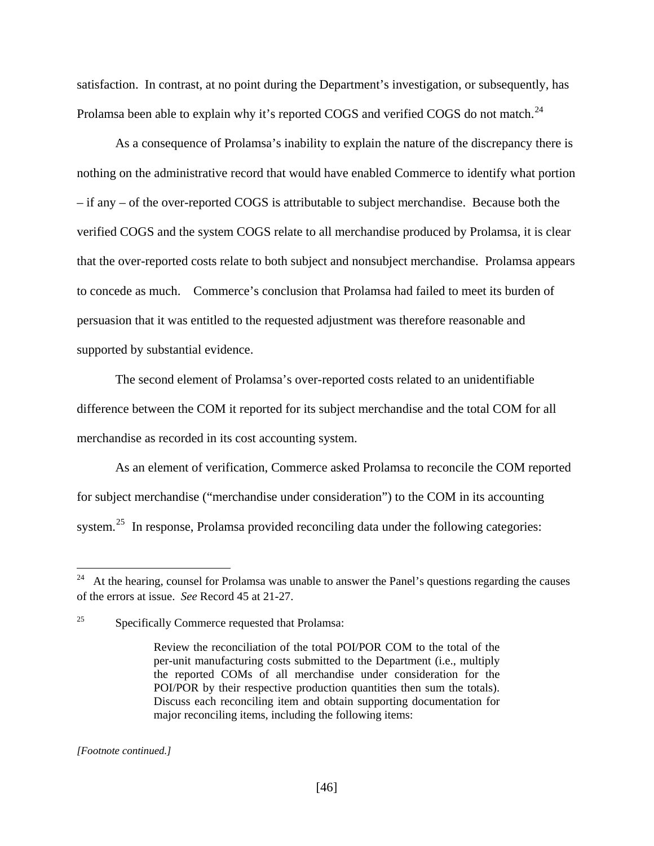satisfaction. In contrast, at no point during the Department's investigation, or subsequently, has Prolamsa been able to explain why it's reported COGS and verified COGS do not match.<sup>[24](#page-45-0)</sup>

As a consequence of Prolamsa's inability to explain the nature of the discrepancy there is nothing on the administrative record that would have enabled Commerce to identify what portion – if any – of the over-reported COGS is attributable to subject merchandise. Because both the verified COGS and the system COGS relate to all merchandise produced by Prolamsa, it is clear that the over-reported costs relate to both subject and nonsubject merchandise. Prolamsa appears to concede as much.Commerce's conclusion that Prolamsa had failed to meet its burden of persuasion that it was entitled to the requested adjustment was therefore reasonable and supported by substantial evidence.

 The second element of Prolamsa's over-reported costs related to an unidentifiable difference between the COM it reported for its subject merchandise and the total COM for all merchandise as recorded in its cost accounting system.

 As an element of verification, Commerce asked Prolamsa to reconcile the COM reported for subject merchandise ("merchandise under consideration") to the COM in its accounting system.<sup>[25](#page-45-1)</sup> In response, Prolamsa provided reconciling data under the following categories:

*[Footnote continued.]* 

 $\overline{a}$ 

<span id="page-45-0"></span> $24$  At the hearing, counsel for Prolamsa was unable to answer the Panel's questions regarding the causes of the errors at issue. *See* Record 45 at 21-27.

<span id="page-45-1"></span><sup>&</sup>lt;sup>25</sup> Specifically Commerce requested that Prolamsa:

Review the reconciliation of the total POI/POR COM to the total of the per-unit manufacturing costs submitted to the Department (i.e., multiply the reported COMs of all merchandise under consideration for the POI/POR by their respective production quantities then sum the totals). Discuss each reconciling item and obtain supporting documentation for major reconciling items, including the following items: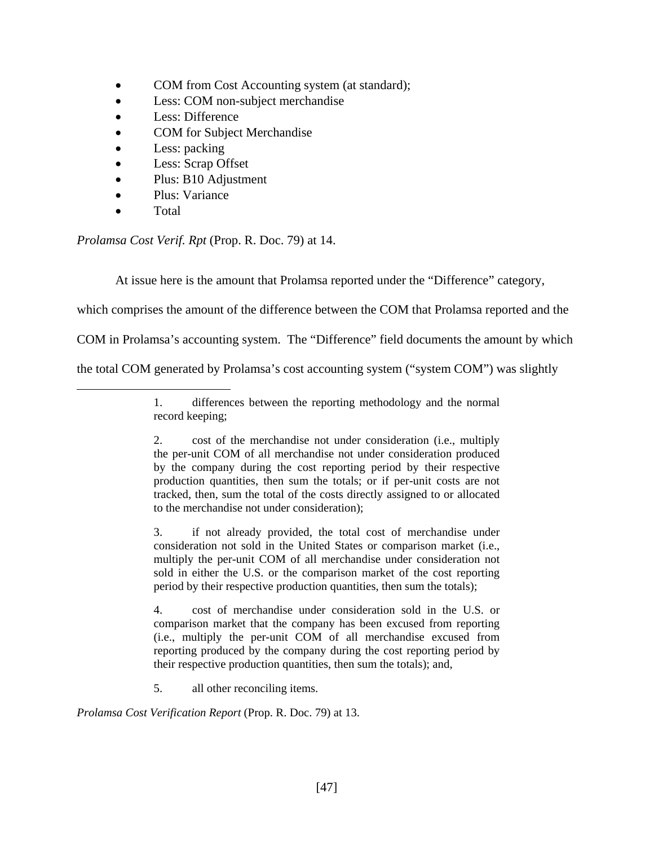- COM from Cost Accounting system (at standard);
- Less: COM non-subject merchandise
- Less: Difference
- COM for Subject Merchandise
- Less: packing
- Less: Scrap Offset
- Plus: B10 Adjustment
- Plus: Variance
- Total

 $\overline{a}$ 

*Prolamsa Cost Verif. Rpt* (Prop. R. Doc. 79) at 14.

At issue here is the amount that Prolamsa reported under the "Difference" category,

which comprises the amount of the difference between the COM that Prolamsa reported and the

COM in Prolamsa's accounting system. The "Difference" field documents the amount by which

the total COM generated by Prolamsa's cost accounting system ("system COM") was slightly

3. if not already provided, the total cost of merchandise under consideration not sold in the United States or comparison market (i.e., multiply the per-unit COM of all merchandise under consideration not sold in either the U.S. or the comparison market of the cost reporting period by their respective production quantities, then sum the totals);

4. cost of merchandise under consideration sold in the U.S. or comparison market that the company has been excused from reporting (i.e., multiply the per-unit COM of all merchandise excused from reporting produced by the company during the cost reporting period by their respective production quantities, then sum the totals); and,

5. all other reconciling items.

*Prolamsa Cost Verification Report* (Prop. R. Doc. 79) at 13.

<sup>1.</sup> differences between the reporting methodology and the normal record keeping;

<sup>2.</sup> cost of the merchandise not under consideration (i.e., multiply the per-unit COM of all merchandise not under consideration produced by the company during the cost reporting period by their respective production quantities, then sum the totals; or if per-unit costs are not tracked, then, sum the total of the costs directly assigned to or allocated to the merchandise not under consideration);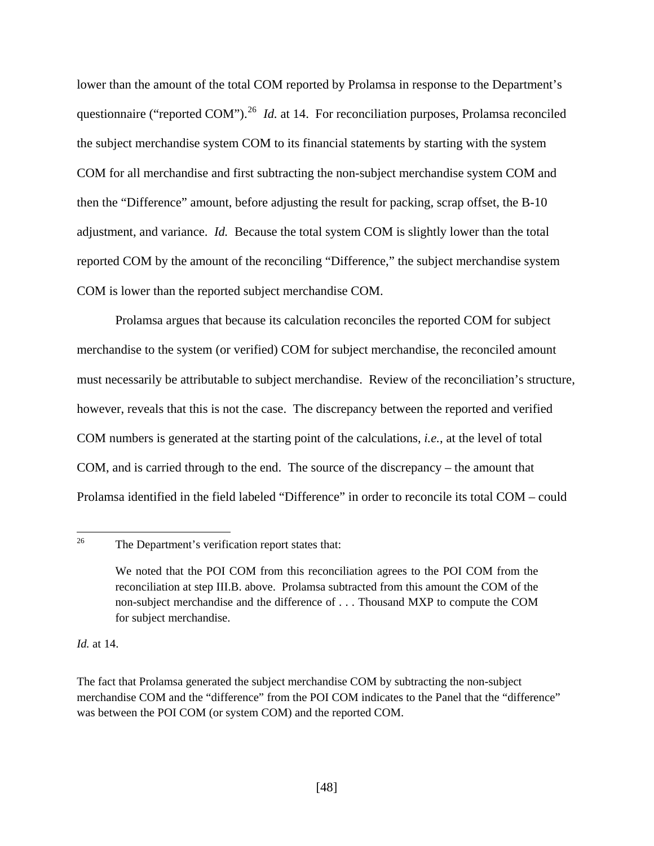lower than the amount of the total COM reported by Prolamsa in response to the Department's questionnaire ("reported COM").<sup>[26](#page-47-0)</sup> *Id.* at 14. For reconciliation purposes, Prolamsa reconciled the subject merchandise system COM to its financial statements by starting with the system COM for all merchandise and first subtracting the non-subject merchandise system COM and then the "Difference" amount, before adjusting the result for packing, scrap offset, the B-10 adjustment, and variance. *Id.* Because the total system COM is slightly lower than the total reported COM by the amount of the reconciling "Difference," the subject merchandise system COM is lower than the reported subject merchandise COM.

 Prolamsa argues that because its calculation reconciles the reported COM for subject merchandise to the system (or verified) COM for subject merchandise, the reconciled amount must necessarily be attributable to subject merchandise. Review of the reconciliation's structure, however, reveals that this is not the case. The discrepancy between the reported and verified COM numbers is generated at the starting point of the calculations, *i.e.*, at the level of total COM, and is carried through to the end. The source of the discrepancy – the amount that Prolamsa identified in the field labeled "Difference" in order to reconcile its total COM – could

*Id.* at 14.

<span id="page-47-0"></span><sup>26</sup> The Department's verification report states that:

We noted that the POI COM from this reconciliation agrees to the POI COM from the reconciliation at step III.B. above. Prolamsa subtracted from this amount the COM of the non-subject merchandise and the difference of . . . Thousand MXP to compute the COM for subject merchandise.

The fact that Prolamsa generated the subject merchandise COM by subtracting the non-subject merchandise COM and the "difference" from the POI COM indicates to the Panel that the "difference" was between the POI COM (or system COM) and the reported COM.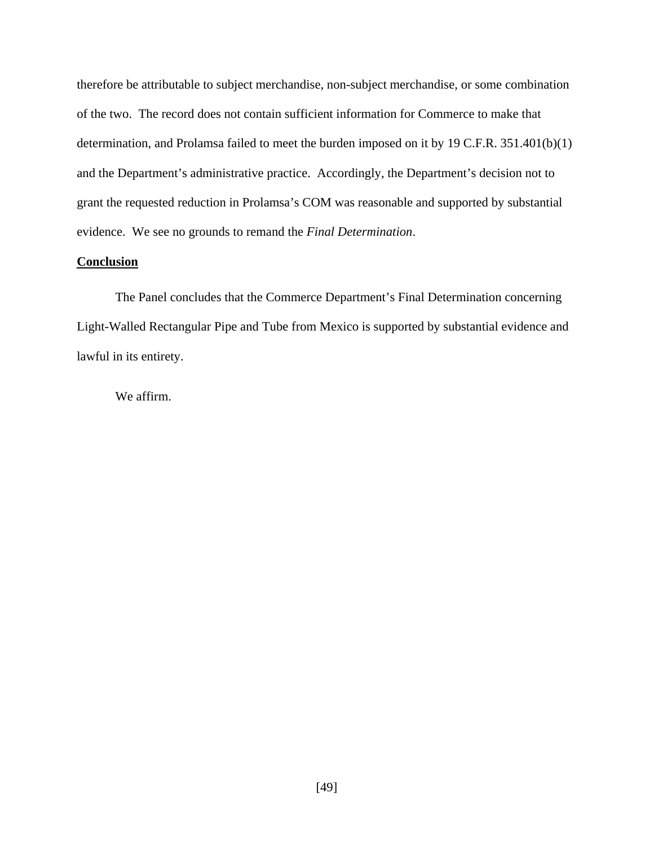therefore be attributable to subject merchandise, non-subject merchandise, or some combination of the two. The record does not contain sufficient information for Commerce to make that determination, and Prolamsa failed to meet the burden imposed on it by 19 C.F.R. 351.401(b)(1) and the Department's administrative practice. Accordingly, the Department's decision not to grant the requested reduction in Prolamsa's COM was reasonable and supported by substantial evidence. We see no grounds to remand the *Final Determination*.

### **Conclusion**

 The Panel concludes that the Commerce Department's Final Determination concerning Light-Walled Rectangular Pipe and Tube from Mexico is supported by substantial evidence and lawful in its entirety.

We affirm.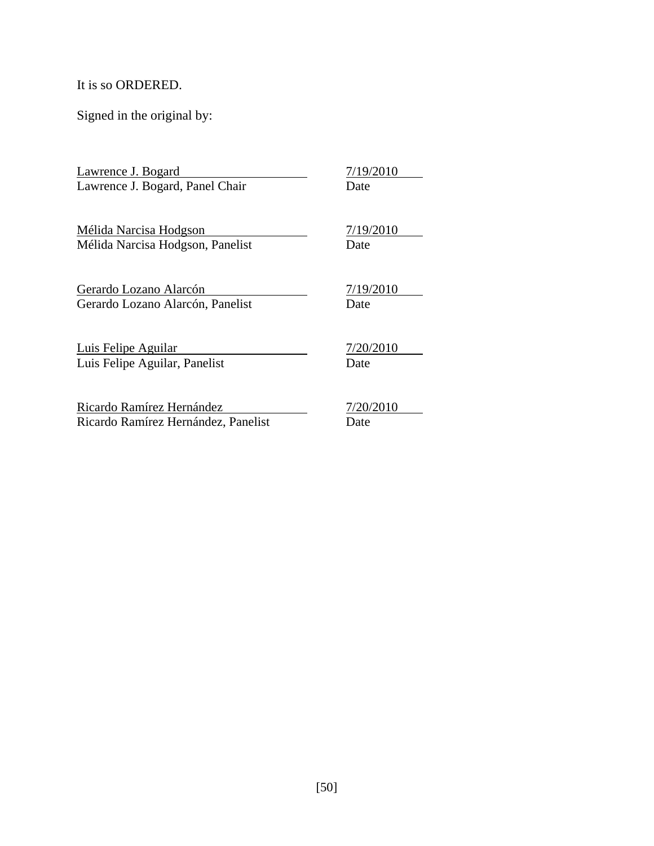It is so ORDERED.

Signed in the original by:

 $\frac{Lawrence \text{ J. Bogard}}{7/19/2010}$  7/19/2010 Lawrence J. Bogard, Panel Chair Date Mélida Narcisa Hodgson 7/19/2010 Mélida Narcisa Hodgson, Panelist Date Gerardo Lozano Alarcón 7/19/2010 Gerardo Lozano Alarcón, Panelist Date Luis Felipe Aguilar 7/20/2010 Luis Felipe Aguilar, Panelist Date Ricardo Ramírez Hernández 7/20/2010 Ricardo Ramírez Hernández, Panelist Date